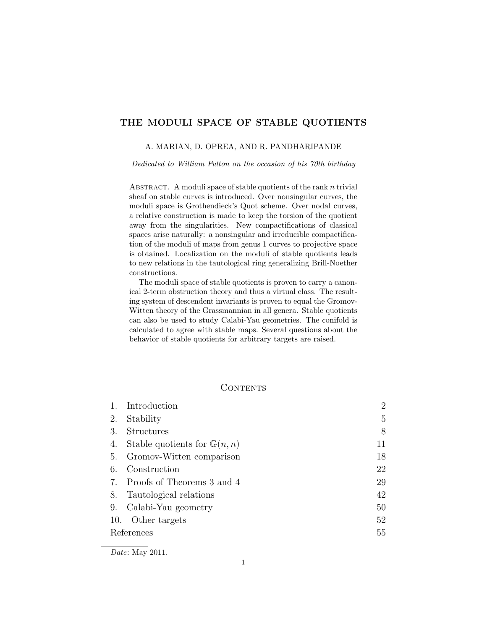# THE MODULI SPACE OF STABLE QUOTIENTS

### A. MARIAN, D. OPREA, AND R. PANDHARIPANDE

*Dedicated to William Fulton on the occasion of his 70th birthday*

ABSTRACT. A moduli space of stable quotients of the rank  $n$  trivial sheaf on stable curves is introduced. Over nonsingular curves, the moduli space is Grothendieck's Quot scheme. Over nodal curves, a relative construction is made to keep the torsion of the quotient away from the singularities. New compactifications of classical spaces arise naturally: a nonsingular and irreducible compactification of the moduli of maps from genus 1 curves to projective space is obtained. Localization on the moduli of stable quotients leads to new relations in the tautological ring generalizing Brill-Noether constructions.

The moduli space of stable quotients is proven to carry a canonical 2-term obstruction theory and thus a virtual class. The resulting system of descendent invariants is proven to equal the Gromov-Witten theory of the Grassmannian in all genera. Stable quotients can also be used to study Calabi-Yau geometries. The conifold is calculated to agree with stable maps. Several questions about the behavior of stable quotients for arbitrary targets are raised.

### **CONTENTS**

|            | Introduction                           | $\overline{2}$ |
|------------|----------------------------------------|----------------|
| 2.         | Stability                              | 5              |
| 3.         | <b>Structures</b>                      | 8              |
| 4.         | Stable quotients for $\mathbb{G}(n,n)$ | 11             |
|            | 5. Gromov-Witten comparison            | 18             |
| 6.         | Construction                           | 22             |
|            | 7. Proofs of Theorems 3 and 4          | 29             |
| 8.         | Tautological relations                 | 42             |
| 9.         | Calabi-Yau geometry                    | 50             |
| 10.        | Other targets                          | 52             |
| References |                                        | 55             |
|            |                                        |                |

*Date*: May 2011.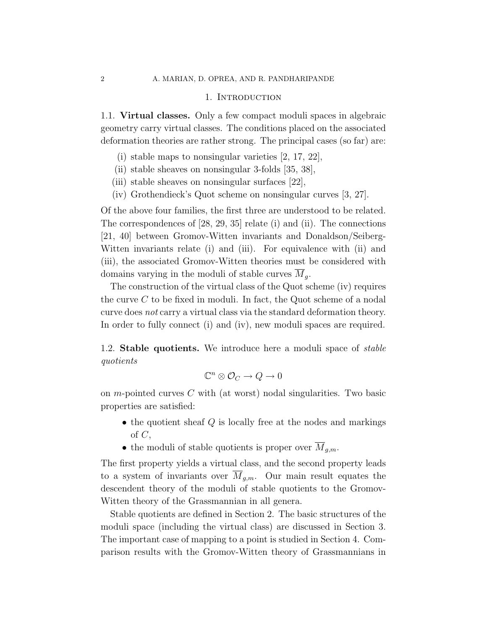#### 1. INTRODUCTION

1.1. Virtual classes. Only a few compact moduli spaces in algebraic geometry carry virtual classes. The conditions placed on the associated deformation theories are rather strong. The principal cases (so far) are:

- (i) stable maps to nonsingular varieties [2, 17, 22],
- (ii) stable sheaves on nonsingular 3-folds [35, 38],
- (iii) stable sheaves on nonsingular surfaces [22],
- (iv) Grothendieck's Quot scheme on nonsingular curves [3, 27].

Of the above four families, the first three are understood to be related. The correspondences of [28, 29, 35] relate (i) and (ii). The connections [21, 40] between Gromov-Witten invariants and Donaldson/Seiberg-Witten invariants relate (i) and (iii). For equivalence with (ii) and (iii), the associated Gromov-Witten theories must be considered with domains varying in the moduli of stable curves  $M<sub>g</sub>$ .

The construction of the virtual class of the Quot scheme (iv) requires the curve C to be fixed in moduli. In fact, the Quot scheme of a nodal curve does not carry a virtual class via the standard deformation theory. In order to fully connect (i) and (iv), new moduli spaces are required.

1.2. Stable quotients. We introduce here a moduli space of stable quotients

$$
\mathbb{C}^n \otimes \mathcal{O}_C \to Q \to 0
$$

on m-pointed curves  $C$  with (at worst) nodal singularities. Two basic properties are satisfied:

- the quotient sheaf  $Q$  is locally free at the nodes and markings of  $C$ ,
- the moduli of stable quotients is proper over  $\overline{M}_{a.m.}$ .

The first property yields a virtual class, and the second property leads to a system of invariants over  $\overline{M}_{q,m}$ . Our main result equates the descendent theory of the moduli of stable quotients to the Gromov-Witten theory of the Grassmannian in all genera.

Stable quotients are defined in Section 2. The basic structures of the moduli space (including the virtual class) are discussed in Section 3. The important case of mapping to a point is studied in Section 4. Comparison results with the Gromov-Witten theory of Grassmannians in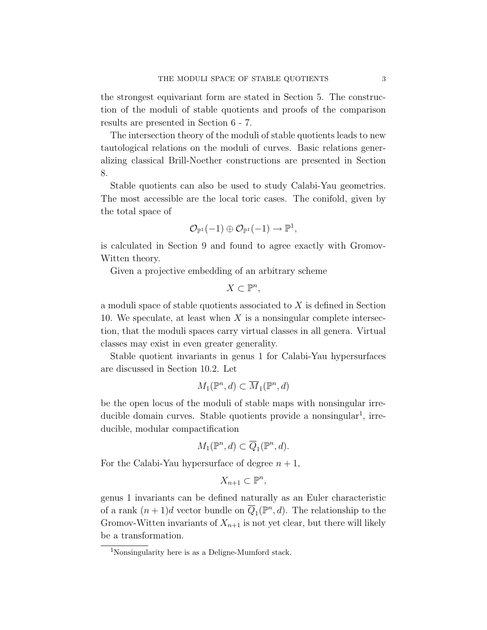the strongest equivariant form are stated in Section 5. The construction of the moduli of stable quotients and proofs of the comparison results are presented in Section 6 - 7.

The intersection theory of the moduli of stable quotients leads to new tautological relations on the moduli of curves. Basic relations generalizing classical Brill-Noether constructions are presented in Section 8.

Stable quotients can also be used to study Calabi-Yau geometries. The most accessible are the local toric cases. The conifold, given by the total space of

$$
\mathcal{O}_{\mathbb{P}^1}(-1) \oplus \mathcal{O}_{\mathbb{P}^1}(-1) \to \mathbb{P}^1,
$$

is calculated in Section 9 and found to agree exactly with Gromov-Witten theory.

Given a projective embedding of an arbitrary scheme

 $X \subset \mathbb{P}^n$ ,

a moduli space of stable quotients associated to X is defined in Section 10. We speculate, at least when  $X$  is a nonsingular complete intersection, that the moduli spaces carry virtual classes in all genera. Virtual classes may exist in even greater generality.

Stable quotient invariants in genus 1 for Calabi-Yau hypersurfaces are discussed in Section 10.2. Let

$$
M_1(\mathbb{P}^n, d) \subset \overline{M}_1(\mathbb{P}^n, d)
$$

be the open locus of the moduli of stable maps with nonsingular irreducible domain curves. Stable quotients provide a nonsingular<sup>1</sup>, irreducible, modular compactification

$$
M_1(\mathbb{P}^n, d) \subset \overline{Q}_1(\mathbb{P}^n, d).
$$

For the Calabi-Yau hypersurface of degree  $n + 1$ ,

$$
X_{n+1} \subset \mathbb{P}^n,
$$

genus 1 invariants can be defined naturally as an Euler characteristic of a rank  $(n+1)d$  vector bundle on  $\overline{Q}_1(\mathbb{P}^n,d)$ . The relationship to the Gromov-Witten invariants of  $X_{n+1}$  is not yet clear, but there will likely be a transformation.

<sup>1</sup>Nonsingularity here is as a Deligne-Mumford stack.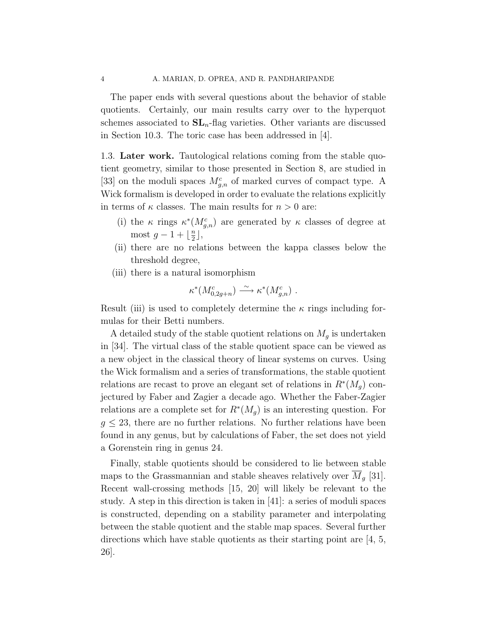The paper ends with several questions about the behavior of stable quotients. Certainly, our main results carry over to the hyperquot schemes associated to  $SL_n$ -flag varieties. Other variants are discussed in Section 10.3. The toric case has been addressed in [4].

1.3. Later work. Tautological relations coming from the stable quotient geometry, similar to those presented in Section 8, are studied in [33] on the moduli spaces  $M_{g,n}^c$  of marked curves of compact type. A Wick formalism is developed in order to evaluate the relations explicitly in terms of  $\kappa$  classes. The main results for  $n > 0$  are:

- (i) the  $\kappa$  rings  $\kappa^*(M_{g,n}^c)$  are generated by  $\kappa$  classes of degree at most  $g-1+\lfloor\frac{n}{2}\rfloor$  $\frac{n}{2}$ ,
- (ii) there are no relations between the kappa classes below the threshold degree,
- (iii) there is a natural isomorphism

$$
\kappa^*(M_{0,2g+n}^c) \xrightarrow{\sim} \kappa^*(M_{g,n}^c) .
$$

Result (iii) is used to completely determine the  $\kappa$  rings including formulas for their Betti numbers.

A detailed study of the stable quotient relations on  $M_g$  is undertaken in [34]. The virtual class of the stable quotient space can be viewed as a new object in the classical theory of linear systems on curves. Using the Wick formalism and a series of transformations, the stable quotient relations are recast to prove an elegant set of relations in  $R^*(M_g)$  conjectured by Faber and Zagier a decade ago. Whether the Faber-Zagier relations are a complete set for  $R^*(M_g)$  is an interesting question. For  $g \leq 23$ , there are no further relations. No further relations have been found in any genus, but by calculations of Faber, the set does not yield a Gorenstein ring in genus 24.

Finally, stable quotients should be considered to lie between stable maps to the Grassmannian and stable sheaves relatively over  $\overline{M}_q$  [31]. Recent wall-crossing methods [15, 20] will likely be relevant to the study. A step in this direction is taken in [41]: a series of moduli spaces is constructed, depending on a stability parameter and interpolating between the stable quotient and the stable map spaces. Several further directions which have stable quotients as their starting point are  $\left[4, 5, \right]$ 26].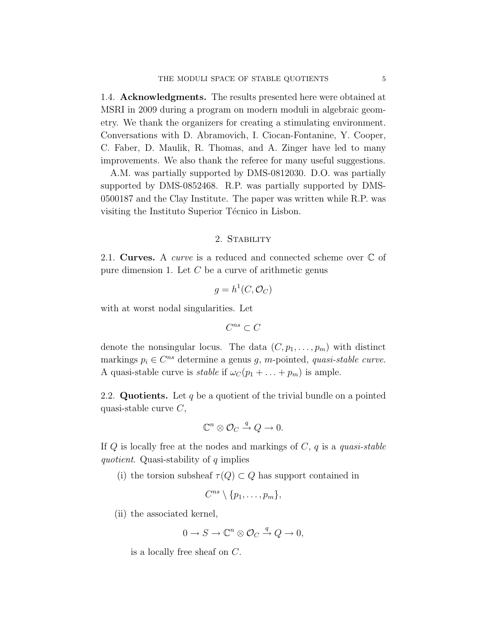1.4. Acknowledgments. The results presented here were obtained at MSRI in 2009 during a program on modern moduli in algebraic geometry. We thank the organizers for creating a stimulating environment. Conversations with D. Abramovich, I. Ciocan-Fontanine, Y. Cooper, C. Faber, D. Maulik, R. Thomas, and A. Zinger have led to many improvements. We also thank the referee for many useful suggestions.

A.M. was partially supported by DMS-0812030. D.O. was partially supported by DMS-0852468. R.P. was partially supported by DMS-0500187 and the Clay Institute. The paper was written while R.P. was visiting the Instituto Superior Técnico in Lisbon.

#### 2. Stability

2.1. Curves. A *curve* is a reduced and connected scheme over  $\mathbb C$  of pure dimension 1. Let  $C$  be a curve of arithmetic genus

$$
g = h^1(C, \mathcal{O}_C)
$$

with at worst nodal singularities. Let

$$
C^{ns}\subset C
$$

denote the nonsingular locus. The data  $(C, p_1, \ldots, p_m)$  with distinct markings  $p_i \in C^{ns}$  determine a genus g, m-pointed, quasi-stable curve. A quasi-stable curve is *stable* if  $\omega_C(p_1 + \ldots + p_m)$  is ample.

2.2. Quotients. Let q be a quotient of the trivial bundle on a pointed quasi-stable curve  $C$ ,

$$
\mathbb{C}^n \otimes \mathcal{O}_C \xrightarrow{q} Q \to 0.
$$

If  $Q$  is locally free at the nodes and markings of  $C, q$  is a quasi-stable quotient. Quasi-stability of  $q$  implies

(i) the torsion subsheaf  $\tau(Q) \subset Q$  has support contained in

$$
C^{ns}\setminus\{p_1,\ldots,p_m\},\,
$$

(ii) the associated kernel,

$$
0 \to S \to \mathbb{C}^n \otimes \mathcal{O}_C \xrightarrow{q} Q \to 0,
$$

is a locally free sheaf on C.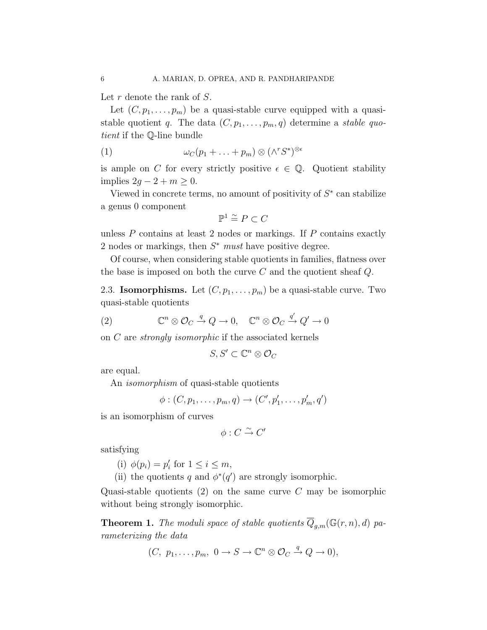Let  $r$  denote the rank of  $S$ .

Let  $(C, p_1, \ldots, p_m)$  be a quasi-stable curve equipped with a quasistable quotient q. The data  $(C, p_1, \ldots, p_m, q)$  determine a *stable quo*tient if the Q-line bundle

(1) 
$$
\omega_C(p_1 + \ldots + p_m) \otimes (\wedge^r S^*)^{\otimes \epsilon}
$$

is ample on C for every strictly positive  $\epsilon \in \mathbb{Q}$ . Quotient stability implies  $2g - 2 + m \geq 0$ .

Viewed in concrete terms, no amount of positivity of  $S^*$  can stabilize a genus 0 component

$$
\mathbb{P}^1 \stackrel{\sim}{=} P \subset C
$$

unless  $P$  contains at least 2 nodes or markings. If  $P$  contains exactly 2 nodes or markings, then  $S^*$  must have positive degree.

Of course, when considering stable quotients in families, flatness over the base is imposed on both the curve  $C$  and the quotient sheaf  $Q$ .

2.3. **Isomorphisms.** Let  $(C, p_1, \ldots, p_m)$  be a quasi-stable curve. Two quasi-stable quotients

(2) 
$$
\mathbb{C}^n \otimes \mathcal{O}_C \xrightarrow{q} Q \to 0, \quad \mathbb{C}^n \otimes \mathcal{O}_C \xrightarrow{q'} Q' \to 0
$$

on C are strongly isomorphic if the associated kernels

$$
S, S' \subset \mathbb{C}^n \otimes \mathcal{O}_C
$$

are equal.

An isomorphism of quasi-stable quotients

$$
\phi:(C,p_1,\ldots,p_m,q)\to (C',p'_1,\ldots,p'_m,q')
$$

is an isomorphism of curves

$$
\phi: C \xrightarrow{\sim} C'
$$

satisfying

(i)  $\phi(p_i) = p'_i$  for  $1 \leq i \leq m$ ,

(ii) the quotients q and  $\phi^*(q')$  are strongly isomorphic.

Quasi-stable quotients  $(2)$  on the same curve C may be isomorphic without being strongly isomorphic.

**Theorem 1.** The moduli space of stable quotients  $\overline{Q}_{q,m}(\mathbb{G}(r,n),d)$  parameterizing the data

$$
(C, p_1, \ldots, p_m, 0 \to S \to \mathbb{C}^n \otimes \mathcal{O}_C \xrightarrow{q} Q \to 0),
$$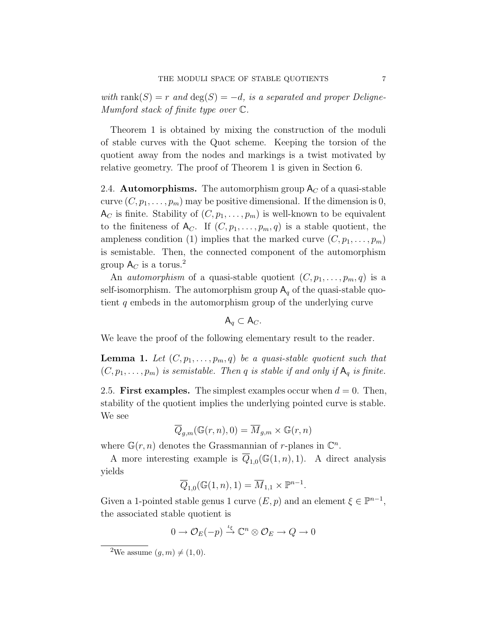with rank $(S) = r$  and  $deg(S) = -d$ , is a separated and proper Deligne-Mumford stack of finite type over C.

Theorem 1 is obtained by mixing the construction of the moduli of stable curves with the Quot scheme. Keeping the torsion of the quotient away from the nodes and markings is a twist motivated by relative geometry. The proof of Theorem 1 is given in Section 6.

2.4. **Automorphisms.** The automorphism group  $A_C$  of a quasi-stable curve  $(C, p_1, \ldots, p_m)$  may be positive dimensional. If the dimension is 0,  $A_C$  is finite. Stability of  $(C, p_1, \ldots, p_m)$  is well-known to be equivalent to the finiteness of  $A_C$ . If  $(C, p_1, \ldots, p_m, q)$  is a stable quotient, the ampleness condition (1) implies that the marked curve  $(C, p_1, \ldots, p_m)$ is semistable. Then, the connected component of the automorphism group  $A_C$  is a torus.<sup>2</sup>

An *automorphism* of a quasi-stable quotient  $(C, p_1, \ldots, p_m, q)$  is a self-isomorphism. The automorphism group  $A_q$  of the quasi-stable quotient q embeds in the automorphism group of the underlying curve

$$
A_q \subset A_C.
$$

We leave the proof of the following elementary result to the reader.

**Lemma 1.** Let  $(C, p_1, \ldots, p_m, q)$  be a quasi-stable quotient such that  $(C, p_1, \ldots, p_m)$  is semistable. Then q is stable if and only if  $A_q$  is finite.

2.5. First examples. The simplest examples occur when  $d = 0$ . Then, stability of the quotient implies the underlying pointed curve is stable. We see

$$
\overline{Q}_{g,m}(\mathbb G(r,n),0)=\overline{M}_{g,m}\times \mathbb G(r,n)
$$

where  $\mathbb{G}(r,n)$  denotes the Grassmannian of r-planes in  $\mathbb{C}^n$ .

A more interesting example is  $Q_{1,0}(\mathbb{G}(1,n),1)$ . A direct analysis yields

$$
\overline{Q}_{1,0}(\mathbb{G}(1,n),1)=\overline{M}_{1,1}\times\mathbb{P}^{n-1}.
$$

Given a 1-pointed stable genus 1 curve  $(E, p)$  and an element  $\xi \in \mathbb{P}^{n-1}$ , the associated stable quotient is

$$
0 \to \mathcal{O}_E(-p) \xrightarrow{\iota_{\xi}} \mathbb{C}^n \otimes \mathcal{O}_E \to Q \to 0
$$

<sup>&</sup>lt;sup>2</sup>We assume  $(q, m) \neq (1, 0)$ .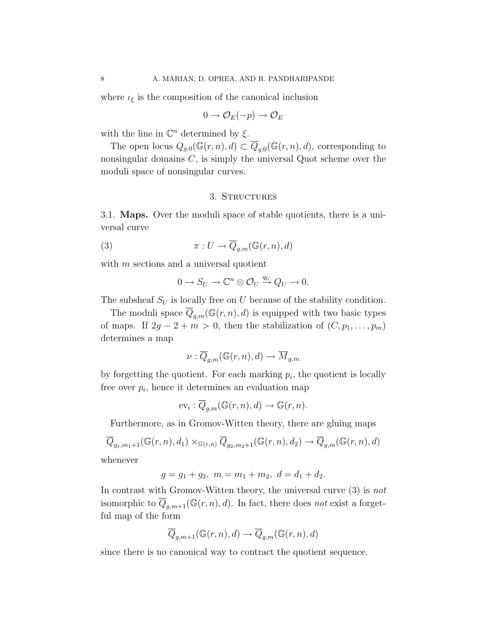where  $\iota_{\xi}$  is the composition of the canonical inclusion

$$
0 \to \mathcal{O}_E(-p) \to \mathcal{O}_E
$$

with the line in  $\mathbb{C}^n$  determined by  $\xi$ .

The open locus  $Q_{g,0}(\mathbb{G}(r,n),d) \subset \overline{Q}_{g,0}(\mathbb{G}(r,n),d)$ , corresponding to nonsingular domains  $C$ , is simply the universal Quot scheme over the moduli space of nonsingular curves.

# 3. STRUCTURES

3.1. Maps. Over the moduli space of stable quotients, there is a universal curve

(3) 
$$
\pi: U \to \overline{Q}_{g,m}(\mathbb{G}(r,n),d)
$$

with  $m$  sections and a universal quotient

$$
0 \to S_U \to \mathbb{C}^n \otimes \mathcal{O}_U \stackrel{q_U}{\to} Q_U \to 0.
$$

The subsheaf  $S_U$  is locally free on U because of the stability condition.

The moduli space  $\overline{Q}_{g,m}(\mathbb{G}(r,n),d)$  is equipped with two basic types of maps. If  $2g - 2 + m > 0$ , then the stabilization of  $(C, p_1, \ldots, p_m)$ determines a map

$$
\nu: \overline{Q}_{g,m}(\mathbb G(r,n), d) \to \overline{M}_{g,m}
$$

by forgetting the quotient. For each marking  $p_i$ , the quotient is locally free over  $p_i$ , hence it determines an evaluation map

$$
ev_i: \overline{Q}_{g,m}(\mathbb{G}(r,n),d) \to \mathbb{G}(r,n).
$$

Furthermore, as in Gromov-Witten theory, there are gluing maps

$$
\overline{Q}_{g_1,m_1+1}(\mathbb{G}(r,n),d_1) \times_{\mathbb{G}(r,n)} \overline{Q}_{g_2,m_2+1}(\mathbb{G}(r,n),d_2) \to \overline{Q}_{g,m}(\mathbb{G}(r,n),d)
$$
whenever

whenever

$$
g = g_1 + g_2, \ m = m_1 + m_2, \ d = d_1 + d_2.
$$

In contrast with Gromov-Witten theory, the universal curve (3) is not isomorphic to  $\overline{Q}_{q,m+1}(\mathbb{G}(r,n),d)$ . In fact, there does not exist a forgetful map of the form

$$
\overline{Q}_{g,m+1}(\mathbb{G}(r,n),d)\to \overline{Q}_{g,m}(\mathbb{G}(r,n),d)
$$

since there is no canonical way to contract the quotient sequence.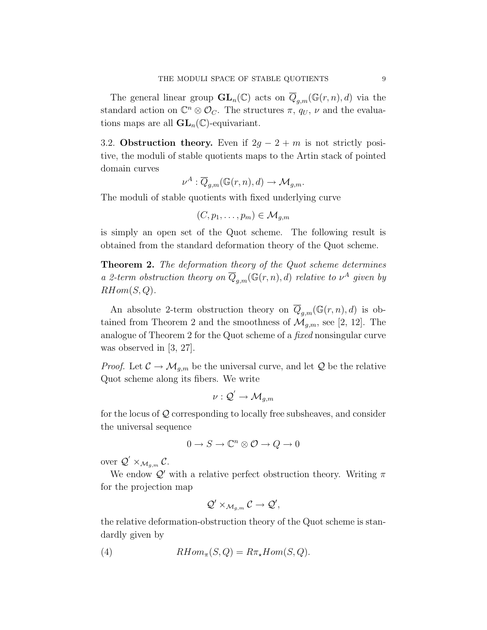The general linear group  $\mathbf{GL}_n(\mathbb{C})$  acts on  $\overline{Q}_{g,m}(\mathbb{G}(r,n),d)$  via the standard action on  $\mathbb{C}^n \otimes \mathcal{O}_C$ . The structures  $\pi$ ,  $q_U$ ,  $\nu$  and the evaluations maps are all  $GL_n(\mathbb{C})$ -equivariant.

3.2. Obstruction theory. Even if  $2g - 2 + m$  is not strictly positive, the moduli of stable quotients maps to the Artin stack of pointed domain curves

$$
\nu^A: \overline{Q}_{g,m}(\mathbb{G}(r,n),d) \to \mathcal{M}_{g,m}.
$$

The moduli of stable quotients with fixed underlying curve

$$
(C, p_1, \ldots, p_m) \in \mathcal{M}_{g,m}
$$

is simply an open set of the Quot scheme. The following result is obtained from the standard deformation theory of the Quot scheme.

Theorem 2. The deformation theory of the Quot scheme determines a 2-term obstruction theory on  $\overline{Q}_{g,m}(\mathbb{G}(r,n),d)$  relative to  $\nu^A$  given by  $RHom(S,Q)$ .

An absolute 2-term obstruction theory on  $\overline{Q}_{g,m}(\mathbb{G}(r,n),d)$  is obtained from Theorem 2 and the smoothness of  $\mathcal{M}_{q,m}$ , see [2, 12]. The analogue of Theorem 2 for the Quot scheme of a fixed nonsingular curve was observed in [3, 27].

*Proof.* Let  $C \to \mathcal{M}_{g,m}$  be the universal curve, and let Q be the relative Quot scheme along its fibers. We write

$$
\nu:{\mathcal Q}'\to {\mathcal M}_{g,m}
$$

for the locus of Q corresponding to locally free subsheaves, and consider the universal sequence

$$
0\to S\to \mathbb{C}^n\otimes \mathcal{O}\to Q\to 0
$$

over  $\mathcal{Q}' \times_{\mathcal{M}_{g,m}} \mathcal{C}$ .

We endow  $\mathcal{Q}'$  with a relative perfect obstruction theory. Writing  $\pi$ for the projection map

$$
\mathcal{Q}' \times_{\mathcal{M}_{g,m}} \mathcal{C} \to \mathcal{Q}',
$$

the relative deformation-obstruction theory of the Quot scheme is standardly given by

(4) 
$$
RHom_{\pi}(S, Q) = R\pi_{\star}Hom(S, Q).
$$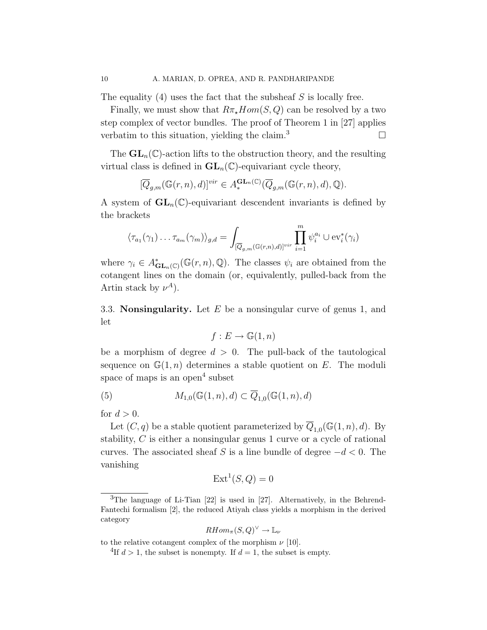The equality  $(4)$  uses the fact that the subsheaf S is locally free.

Finally, we must show that  $R\pi_{\star}Hom(S,Q)$  can be resolved by a two step complex of vector bundles. The proof of Theorem 1 in [27] applies verbatim to this situation, yielding the claim.<sup>3</sup>

The  $GL_n(\mathbb{C})$ -action lifts to the obstruction theory, and the resulting virtual class is defined in  $GL_n(\mathbb{C})$ -equivariant cycle theory,

$$
[\overline{Q}_{g,m}(\mathbb G(r,n), d)]^{vir} \in A_*^{\mathbf{GL}_n(\mathbb C)}(\overline{Q}_{g,m}(\mathbb G(r,n), d), \mathbb Q).
$$

A system of  $GL_n(\mathbb{C})$ -equivariant descendent invariants is defined by the brackets

$$
\langle \tau_{a_1}(\gamma_1) \dots \tau_{a_m}(\gamma_m) \rangle_{g,d} = \int_{[\overline{Q}_{g,m}(\mathbb{G}(r,n),d)]^{vir}} \prod_{i=1}^m \psi_i^{a_i} \cup \text{ev}_i^*(\gamma_i)
$$

where  $\gamma_i \in A_{\mathbf{GL}_n(\mathbb{C})}^*(\mathbb{G}(r,n),\mathbb{Q})$ . The classes  $\psi_i$  are obtained from the cotangent lines on the domain (or, equivalently, pulled-back from the Artin stack by  $\nu^A$ ).

3.3. **Nonsingularity.** Let  $E$  be a nonsingular curve of genus 1, and let

$$
f: E \to \mathbb{G}(1, n)
$$

be a morphism of degree  $d > 0$ . The pull-back of the tautological sequence on  $\mathbb{G}(1,n)$  determines a stable quotient on E. The moduli space of maps is an open<sup>4</sup> subset

(5) 
$$
M_{1,0}(\mathbb{G}(1,n),d) \subset \overline{Q}_{1,0}(\mathbb{G}(1,n),d)
$$

for  $d > 0$ .

Let  $(C, q)$  be a stable quotient parameterized by  $\overline{Q}_{1,0}(\mathbb{G}(1,n), d)$ . By stability, C is either a nonsingular genus 1 curve or a cycle of rational curves. The associated sheaf S is a line bundle of degree  $-d < 0$ . The vanishing

$$
Ext^1(S, Q) = 0
$$

$$
RHom_{\pi}(S,Q)^{\vee} \to \mathbb{L}_{\nu}
$$

to the relative cotangent complex of the morphism  $\nu$  [10].

 $3$ The language of Li-Tian [22] is used in [27]. Alternatively, in the Behrend-Fantechi formalism [2], the reduced Atiyah class yields a morphism in the derived category

<sup>&</sup>lt;sup>4</sup>If  $d > 1$ , the subset is nonempty. If  $d = 1$ , the subset is empty.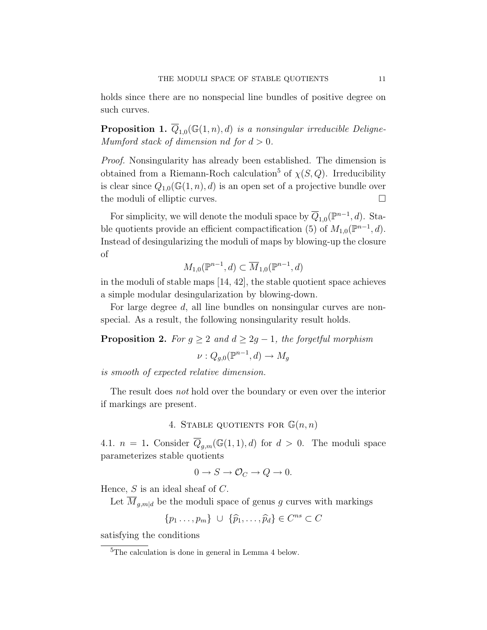holds since there are no nonspecial line bundles of positive degree on such curves.

**Proposition 1.**  $Q_{1,0}(\mathbb{G}(1,n),d)$  is a nonsingular irreducible Deligne-Mumford stack of dimension nd for  $d > 0$ .

Proof. Nonsingularity has already been established. The dimension is obtained from a Riemann-Roch calculation<sup>5</sup> of  $\chi(S, Q)$ . Irreducibility is clear since  $Q_{1,0}(\mathbb{G}(1,n),d)$  is an open set of a projective bundle over the moduli of elliptic curves.  $\Box$ 

For simplicity, we will denote the moduli space by  $\overline{Q}_{1,0}(\mathbb{P}^{n-1},d)$ . Stable quotients provide an efficient compactification (5) of  $M_{1,0}(\mathbb{P}^{n-1},d)$ . Instead of desingularizing the moduli of maps by blowing-up the closure of

$$
M_{1,0}(\mathbb{P}^{n-1},d) \subset \overline{M}_{1,0}(\mathbb{P}^{n-1},d)
$$

in the moduli of stable maps [14, 42], the stable quotient space achieves a simple modular desingularization by blowing-down.

For large degree d, all line bundles on nonsingular curves are nonspecial. As a result, the following nonsingularity result holds.

**Proposition 2.** For  $g \geq 2$  and  $d \geq 2g - 1$ , the forgetful morphism

$$
\nu: Q_{g,0}(\mathbb{P}^{n-1}, d) \to M_g
$$

is smooth of expected relative dimension.

The result does not hold over the boundary or even over the interior if markings are present.

4. STABLE QUOTIENTS FOR  $\mathbb{G}(n,n)$ 

4.1.  $n = 1$ . Consider  $\overline{Q}_{q,m}(\mathbb{G}(1,1),d)$  for  $d > 0$ . The moduli space parameterizes stable quotients

$$
0 \to S \to \mathcal{O}_C \to Q \to 0.
$$

Hence,  $S$  is an ideal sheaf of  $C$ .

Let  $\overline{M}_{g,m|d}$  be the moduli space of genus g curves with markings

$$
\{p_1\ldots,p_m\} \ \cup \ \{\widehat{p}_1,\ldots,\widehat{p}_d\} \in C^{ns} \subset C
$$

satisfying the conditions

<sup>&</sup>lt;sup>5</sup>The calculation is done in general in Lemma 4 below.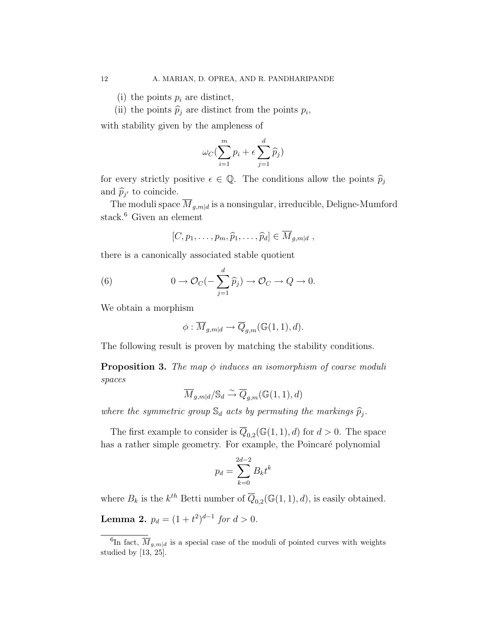(i) the points  $p_i$  are distinct,

(ii) the points  $\hat{p}_j$  are distinct from the points  $p_i$ ,

with stability given by the ampleness of

$$
\omega_C(\sum_{i=1}^m p_i + \epsilon \sum_{j=1}^d \widehat{p}_j)
$$

for every strictly positive  $\epsilon \in \mathbb{Q}$ . The conditions allow the points  $\widehat{p}_i$ and  $\widehat{p}_{j'}$  to coincide.

The moduli space  $\overline{M}_{g,m|d}$  is a nonsingular, irreducible, Deligne-Mumford stack.<sup>6</sup> Given an element

$$
[C, p_1, \ldots, p_m, \widehat{p}_1, \ldots, \widehat{p}_d] \in \overline{M}_{g,m|d},
$$

there is a canonically associated stable quotient

(6) 
$$
0 \to \mathcal{O}_C(-\sum_{j=1}^d \widehat{p}_j) \to \mathcal{O}_C \to Q \to 0.
$$

We obtain a morphism

$$
\phi: \overline{M}_{g,m|d} \to \overline{Q}_{g,m}(\mathbb{G}(1,1),d).
$$

The following result is proven by matching the stability conditions.

**Proposition 3.** The map  $\phi$  induces an isomorphism of coarse moduli spaces

$$
\overline{M}_{g,m|d}/\mathbb{S}_{d}\xrightarrow{\sim}\overline{Q}_{g,m}(\mathbb{G}(1,1),d)
$$

where the symmetric group  $\mathbb{S}_d$  acts by permuting the markings  $\widehat{p}_j$ .

The first example to consider is  $\overline{Q}_{0,2}(\mathbb{G}(1,1),d)$  for  $d>0$ . The space has a rather simple geometry. For example, the Poincaré polynomial

$$
p_d = \sum_{k=0}^{2d-2} B_k t^k
$$

where  $B_k$  is the  $k^{th}$  Betti number of  $\overline{Q}_{0,2}(\mathbb{G}(1,1),d)$ , is easily obtained. **Lemma 2.**  $p_d = (1 + t^2)^{d-1}$  for  $d > 0$ .

<sup>&</sup>lt;sup>6</sup>In fact,  $\overline{M}_{g,m|d}$  is a special case of the moduli of pointed curves with weights studied by [13, 25].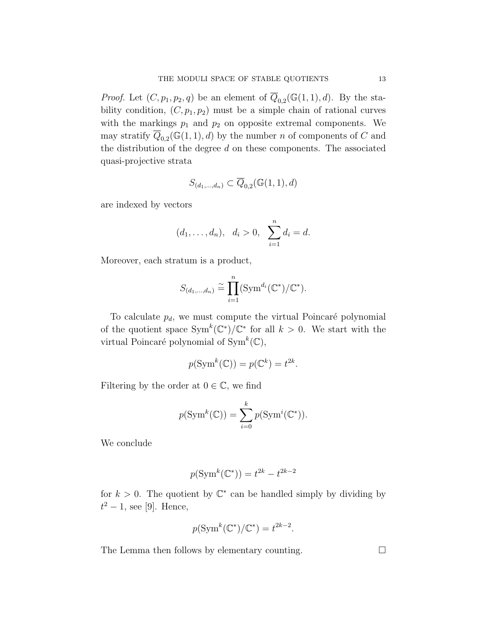*Proof.* Let  $(C, p_1, p_2, q)$  be an element of  $Q_{0,2}(\mathbb{G}(1,1), d)$ . By the stability condition,  $(C, p_1, p_2)$  must be a simple chain of rational curves with the markings  $p_1$  and  $p_2$  on opposite extremal components. We may stratify  $\overline{Q}_{0,2}(\mathbb{G}(1,1),d)$  by the number n of components of C and the distribution of the degree  $d$  on these components. The associated quasi-projective strata

$$
S_{(d_1,\ldots,d_n)}\subset \overline{Q}_{0,2}(\mathbb{G}(1,1),d)
$$

are indexed by vectors

$$
(d_1, ..., d_n), d_i > 0, \sum_{i=1}^n d_i = d.
$$

Moreover, each stratum is a product,

$$
S_{(d_1,\ldots,d_n)} \cong \prod_{i=1}^n (\text{Sym}^{d_i}(\mathbb{C}^*)/\mathbb{C}^*).
$$

To calculate  $p_d$ , we must compute the virtual Poincaré polynomial of the quotient space  $\text{Sym}^k(\mathbb{C}^*)/\mathbb{C}^*$  for all  $k > 0$ . We start with the virtual Poincaré polynomial of  $\text{Sym}^k(\mathbb{C}),$ 

$$
p(\operatorname{Sym}^k(\mathbb{C})) = p(\mathbb{C}^k) = t^{2k}.
$$

Filtering by the order at  $0 \in \mathbb{C}$ , we find

$$
p(\operatorname{Sym}^k(\mathbb{C})) = \sum_{i=0}^k p(\operatorname{Sym}^i(\mathbb{C}^*)).
$$

We conclude

$$
p(\operatorname{Sym}^k(\mathbb{C}^*)) = t^{2k} - t^{2k-2}
$$

for  $k > 0$ . The quotient by  $\mathbb{C}^*$  can be handled simply by dividing by  $t^2-1$ , see [9]. Hence,

$$
p(\operatorname{Sym}^k(\mathbb{C}^*)/\mathbb{C}^*) = t^{2k-2}.
$$

The Lemma then follows by elementary counting.  $\Box$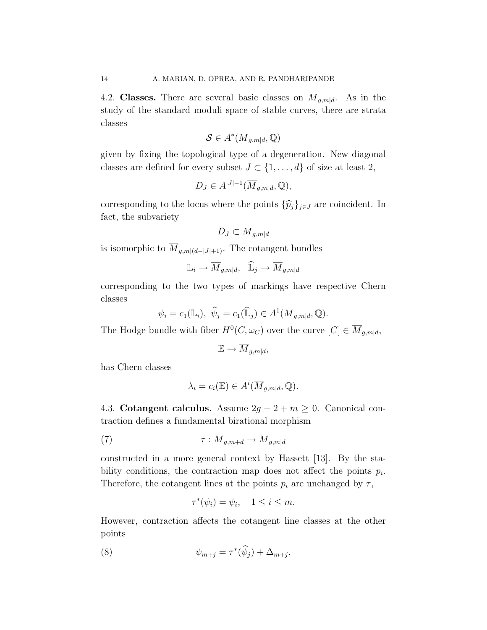4.2. Classes. There are several basic classes on  $\overline{M}_{q,m|d}$ . As in the study of the standard moduli space of stable curves, there are strata classes

$$
\mathcal{S} \in A^*(\overline{M}_{g,m|d},\mathbb{Q})
$$

given by fixing the topological type of a degeneration. New diagonal classes are defined for every subset  $J \subset \{1, \ldots, d\}$  of size at least 2,

$$
D_J \in A^{|J|-1}(\overline{M}_{g,m|d}, \mathbb{Q}),
$$

corresponding to the locus where the points  $\{\widehat{p}_j\}_{j\in J}$  are coincident. In fact, the subvariety

$$
D_J \subset \overline{M}_{g,m|d}
$$

is isomorphic to  $\overline{M}_{q,m|(d-|J|+1)}$ . The cotangent bundles

$$
\mathbb{L}_i \to \overline{M}_{g,m|d}, \quad \widehat{\mathbb{L}}_j \to \overline{M}_{g,m|d}
$$

corresponding to the two types of markings have respective Chern classes

$$
\psi_i = c_1(\mathbb{L}_i), \ \hat{\psi}_j = c_1(\widehat{\mathbb{L}}_j) \in A^1(\overline{M}_{g,m|d}, \mathbb{Q}).
$$

The Hodge bundle with fiber  $H^0(C, \omega_C)$  over the curve  $[C] \in \overline{M}_{g,m|d}$ ,

$$
\mathbb{E} \to \overline{M}_{g,m|d},
$$

has Chern classes

$$
\lambda_i = c_i(\mathbb{E}) \in A^i(\overline{M}_{g,m|d}, \mathbb{Q}).
$$

4.3. Cotangent calculus. Assume  $2g - 2 + m \geq 0$ . Canonical contraction defines a fundamental birational morphism

(7) τ : Mg,m+<sup>d</sup> → Mg,m|<sup>d</sup>

constructed in a more general context by Hassett [13]. By the stability conditions, the contraction map does not affect the points  $p_i$ . Therefore, the cotangent lines at the points  $p_i$  are unchanged by  $\tau$ ,

$$
\tau^*(\psi_i) = \psi_i, \quad 1 \le i \le m.
$$

However, contraction affects the cotangent line classes at the other points

(8) 
$$
\psi_{m+j} = \tau^*(\widehat{\psi}_j) + \Delta_{m+j}.
$$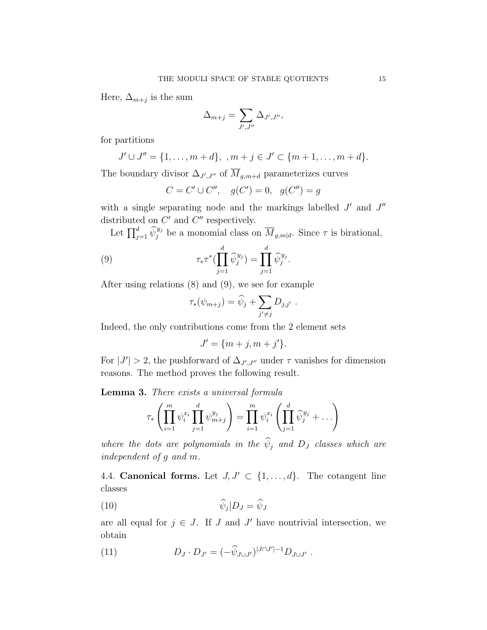Here,  $\Delta_{m+j}$  is the sum

$$
\Delta_{m+j} = \sum_{J',J''} \Delta_{J',J''},
$$

for partitions

$$
J' \cup J'' = \{1, \ldots, m + d\}, \quad m + j \in J' \subset \{m + 1, \ldots, m + d\}.
$$

The boundary divisor  $\Delta_{J',J''}$  of  $M_{g,m+d}$  parameterizes curves

$$
C = C' \cup C'', \quad g(C') = 0, \quad g(C'') = g
$$

with a single separating node and the markings labelled  $J'$  and  $J''$ distributed on  $C'$  and  $C''$  respectively.

Let  $\prod_{j=1}^d \widehat{\psi}_j^{y_j}$  be a monomial class on  $\overline{M}_{g,m|d}$ . Since  $\tau$  is birational,

(9) 
$$
\tau_* \tau^* \left( \prod_{j=1}^d \widehat{\psi}_j^{y_j} \right) = \prod_{j=1}^d \widehat{\psi}_j^{y_j}.
$$

After using relations (8) and (9), we see for example

$$
\tau_*(\psi_{m+j}) = \widehat{\psi}_j + \sum_{j' \neq j} D_{j,j'}.
$$

Indeed, the only contributions come from the 2 element sets

$$
J' = \{m+j, m+j'\}.
$$

For  $|J'| > 2$ , the pushforward of  $\Delta_{J',J''}$  under  $\tau$  vanishes for dimension reasons. The method proves the following result.

Lemma 3. There exists a universal formula

$$
\tau_*\left(\prod_{i=1}^m \psi_i^{x_i} \prod_{j=1}^d \psi_{m+j}^{y_j}\right) = \prod_{i=1}^m \psi_i^{x_i} \left(\prod_{j=1}^d \widehat{\psi}_j^{y_j} + \dots\right)
$$

where the dots are polynomials in the  $\widehat{\psi}_j$  and  $D_j$  classes which are independent of g and m.

4.4. Canonical forms. Let  $J, J' \subset \{1, \ldots, d\}$ . The cotangent line classes

$$
\widehat{\psi}_j|D_J = \widehat{\psi}_J
$$

are all equal for  $j \in J$ . If J and J' have nontrivial intersection, we obtain

(11) 
$$
D_J \cdot D_{J'} = (-\widehat{\psi}_{J \cup J'})^{|J \cap J'|-1} D_{J \cup J'}.
$$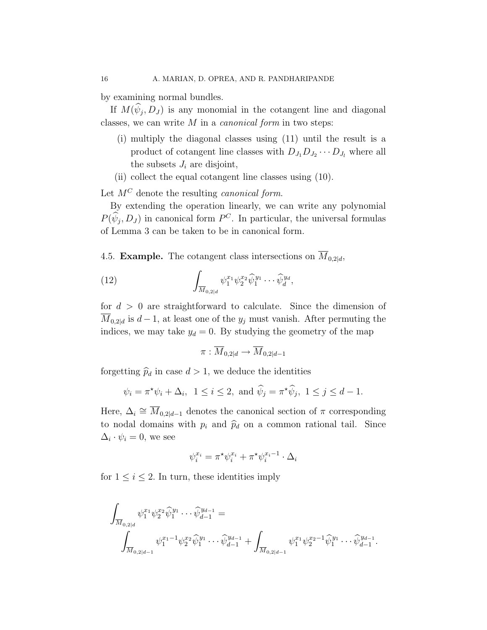by examining normal bundles.

If  $M(\psi_j, D_J)$  is any monomial in the cotangent line and diagonal classes, we can write  $M$  in a *canonical form* in two steps:

- (i) multiply the diagonal classes using (11) until the result is a product of cotangent line classes with  $D_{J_1}D_{J_2}\cdots D_{J_l}$  where all the subsets  $J_i$  are disjoint,
- (ii) collect the equal cotangent line classes using (10).

Let  $M^C$  denote the resulting *canonical form*.

By extending the operation linearly, we can write any polynomial  $P(\hat{\psi}_j, D_J)$  in canonical form  $P^C$ . In particular, the universal formulas of Lemma 3 can be taken to be in canonical form.

4.5. **Example.** The cotangent class intersections on  $\overline{M}_{0,2|d}$ ,

(12) 
$$
\int_{\overline{M}_{0,2|d}} \psi_1^{x_1} \psi_2^{x_2} \widehat{\psi}_1^{y_1} \cdots \widehat{\psi}_d^{y_d},
$$

for  $d > 0$  are straightforward to calculate. Since the dimension of  $M_{0,2|d}$  is  $d-1$ , at least one of the  $y_j$  must vanish. After permuting the indices, we may take  $y_d = 0$ . By studying the geometry of the map

$$
\pi: \overline{M}_{0,2|d} \to \overline{M}_{0,2|d-1}
$$

forgetting  $\hat{p}_d$  in case  $d > 1$ , we deduce the identities

$$
\psi_i = \pi^* \psi_i + \Delta_i
$$
,  $1 \leq i \leq 2$ , and  $\widehat{\psi}_j = \pi^* \widehat{\psi}_j$ ,  $1 \leq j \leq d - 1$ .

Here,  $\Delta_i \cong \overline{M}_{0,2|d-1}$  denotes the canonical section of  $\pi$  corresponding to nodal domains with  $p_i$  and  $\widehat{p}_d$  on a common rational tail. Since  $\Delta_i \cdot \psi_i = 0$ , we see

$$
\psi_i^{x_i} = \pi^* \psi_i^{x_i} + \pi^* \psi_i^{x_i - 1} \cdot \Delta_i
$$

for  $1 \leq i \leq 2$ . In turn, these identities imply

$$
\int_{\overline{M}_{0,2|d}} \psi_1^{x_1} \psi_2^{x_2} \widehat{\psi}_1^{y_1} \cdots \widehat{\psi}_{d-1}^{y_{d-1}} = \int_{\overline{M}_{0,2|d-1}} \psi_1^{x_1-1} \psi_2^{x_2} \widehat{\psi}_1^{y_1} \cdots \widehat{\psi}_{d-1}^{y_{d-1}} + \int_{\overline{M}_{0,2|d-1}} \psi_1^{x_1} \psi_2^{x_2-1} \widehat{\psi}_1^{y_1} \cdots \widehat{\psi}_{d-1}^{y_{d-1}}.
$$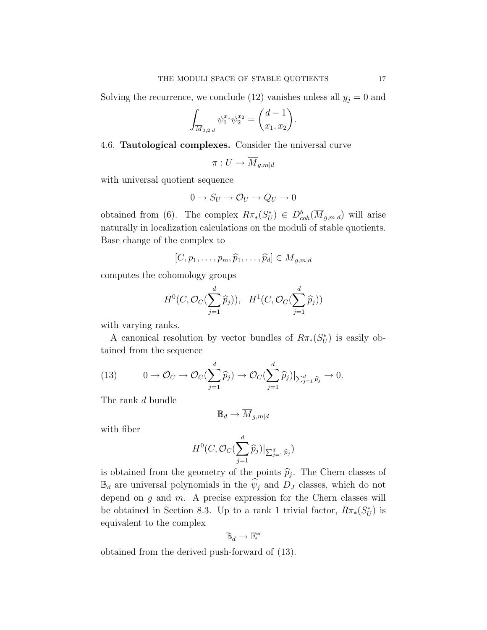Solving the recurrence, we conclude (12) vanishes unless all  $y_j = 0$  and

$$
\int_{\overline{M}_{0,2|d}} \psi_1^{x_1} \psi_2^{x_2} = \binom{d-1}{x_1, x_2}.
$$

### 4.6. Tautological complexes. Consider the universal curve

$$
\pi: U \to M_{g,m|d}
$$

with universal quotient sequence

$$
0 \to S_U \to \mathcal{O}_U \to Q_U \to 0
$$

obtained from (6). The complex  $R\pi_*(S_U^*) \in D^b_{coh}(\overline{M}_{g,m|d})$  will arise naturally in localization calculations on the moduli of stable quotients. Base change of the complex to

$$
[C, p_1, \ldots, p_m, \widehat{p}_1, \ldots, \widehat{p}_d] \in \overline{M}_{g,m|d}
$$

computes the cohomology groups

$$
H^0(C, \mathcal{O}_C(\sum_{j=1}^d \widehat{p}_j)), \quad H^1(C, \mathcal{O}_C(\sum_{j=1}^d \widehat{p}_j))
$$

with varying ranks.

A canonical resolution by vector bundles of  $R\pi_*(S^*_{U})$  is easily obtained from the sequence

(13) 
$$
0 \to \mathcal{O}_C \to \mathcal{O}_C(\sum_{j=1}^d \widehat{p}_j) \to \mathcal{O}_C(\sum_{j=1}^d \widehat{p}_j)|_{\sum_{j=1}^d \widehat{p}_j} \to 0.
$$

The rank d bundle

$$
\mathbb{B}_d \to \overline{M}_{g,m|d}
$$

with fiber

$$
H^0(C, \mathcal{O}_C(\sum_{j=1}^d \widehat{p}_j)|_{\sum_{j=1}^d \widehat{p}_j})
$$

is obtained from the geometry of the points  $\hat{p}_j$ . The Chern classes of  $\mathbb{B}_d$  are universal polynomials in the  $\psi_j$  and  $D_j$  classes, which do not depend on  $g$  and  $m$ . A precise expression for the Chern classes will be obtained in Section 8.3. Up to a rank 1 trivial factor,  $R\pi_*(S^*_{U})$  is equivalent to the complex

$$
\mathbb{B}_d \to \mathbb{E}^*
$$

obtained from the derived push-forward of (13).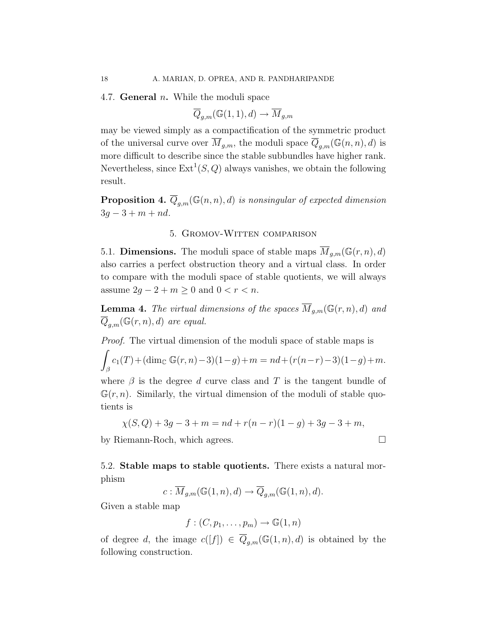4.7. **General**  $n$ . While the moduli space

$$
\overline{Q}_{g,m}(\mathbb{G}(1,1),d)\to \overline{M}_{g,m}
$$

may be viewed simply as a compactification of the symmetric product of the universal curve over  $\overline{M}_{g,m}$ , the moduli space  $\overline{Q}_{g,m}(\mathbb{G}(n,n),d)$  is more difficult to describe since the stable subbundles have higher rank. Nevertheless, since  $\text{Ext}^1(S, Q)$  always vanishes, we obtain the following result.

**Proposition 4.**  $\overline{Q}_{g,m}(\mathbb{G}(n,n),d)$  is nonsingular of expected dimension  $3q - 3 + m + nd.$ 

# 5. Gromov-Witten comparison

5.1. **Dimensions.** The moduli space of stable maps  $\overline{M}_{q,m}(\mathbb{G}(r,n),d)$ also carries a perfect obstruction theory and a virtual class. In order to compare with the moduli space of stable quotients, we will always assume  $2g - 2 + m \geq 0$  and  $0 < r < n$ .

**Lemma 4.** The virtual dimensions of the spaces  $\overline{M}_{q,m}(\mathbb{G}(r,n),d)$  and  $\overline{Q}_{g,m}(\mathbb{G}(r,n),d)$  are equal.

Proof. The virtual dimension of the moduli space of stable maps is

$$
\int_{\beta} c_1(T) + (\dim_{\mathbb{C}} \mathbb{G}(r, n) - 3)(1 - g) + m = nd + (r(n - r) - 3)(1 - g) + m.
$$

where  $\beta$  is the degree d curve class and T is the tangent bundle of  $\mathbb{G}(r,n)$ . Similarly, the virtual dimension of the moduli of stable quotients is

$$
\chi(S, Q) + 3g - 3 + m = nd + r(n - r)(1 - g) + 3g - 3 + m,
$$

by Riemann-Roch, which agrees.

5.2. Stable maps to stable quotients. There exists a natural morphism

$$
c: \overline{M}_{g,m}(\mathbb{G}(1,n),d) \to \overline{Q}_{g,m}(\mathbb{G}(1,n),d).
$$

Given a stable map

$$
f:(C,p_1,\ldots,p_m)\to\mathbb{G}(1,n)
$$

of degree d, the image  $c([f]) \in \overline{Q}_{g,m}(\mathbb{G}(1,n),d)$  is obtained by the following construction.

$$
\qquad \qquad \Box
$$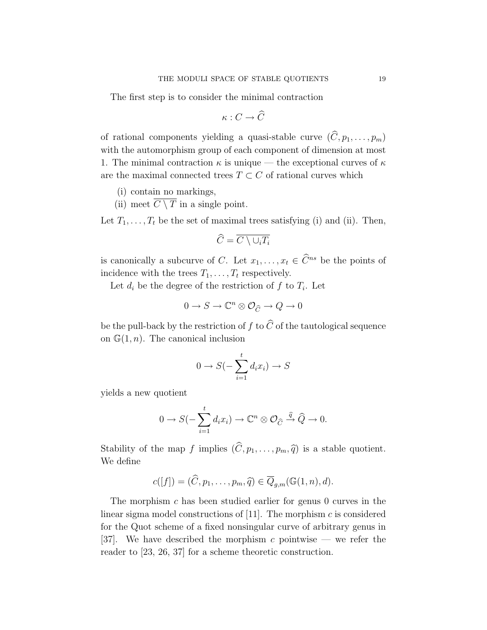The first step is to consider the minimal contraction

$$
\kappa:C\to \widehat{C}
$$

of rational components yielding a quasi-stable curve  $(\widehat{C}, p_1, \ldots, p_m)$ with the automorphism group of each component of dimension at most 1. The minimal contraction  $\kappa$  is unique — the exceptional curves of  $\kappa$ are the maximal connected trees  $T \subset C$  of rational curves which

- (i) contain no markings,
- (ii) meet  $\overline{C \setminus T}$  in a single point.

Let  $T_1, \ldots, T_t$  be the set of maximal trees satisfying (i) and (ii). Then,

$$
\widehat{C} = \overline{C \setminus \cup_i T_i}
$$

is canonically a subcurve of C. Let  $x_1, \ldots, x_t \in \widehat{C}^{ns}$  be the points of incidence with the trees  $T_1, \ldots, T_t$  respectively.

Let  $d_i$  be the degree of the restriction of f to  $T_i$ . Let

$$
0 \to S \to \mathbb{C}^n \otimes \mathcal{O}_{\widehat{C}} \to Q \to 0
$$

be the pull-back by the restriction of  $f$  to  $\widehat C$  of the tautological sequence on  $\mathbb{G}(1,n)$ . The canonical inclusion

$$
0 \to S(-\sum_{i=1}^{t} d_i x_i) \to S
$$

yields a new quotient

$$
0 \to S(-\sum_{i=1}^t d_i x_i) \to \mathbb{C}^n \otimes \mathcal{O}_{\widehat{C}} \xrightarrow{\widehat{q}} \widehat{Q} \to 0.
$$

Stability of the map f implies  $(\widehat{C}, p_1, \ldots, p_m, \widehat{q})$  is a stable quotient. We define

$$
c([f]) = (\widehat{C}, p_1, \dots, p_m, \widehat{q}) \in \overline{Q}_{g,m}(\mathbb{G}(1,n), d).
$$

The morphism c has been studied earlier for genus 0 curves in the linear sigma model constructions of  $[11]$ . The morphism c is considered for the Quot scheme of a fixed nonsingular curve of arbitrary genus in [37]. We have described the morphism c pointwise — we refer the reader to [23, 26, 37] for a scheme theoretic construction.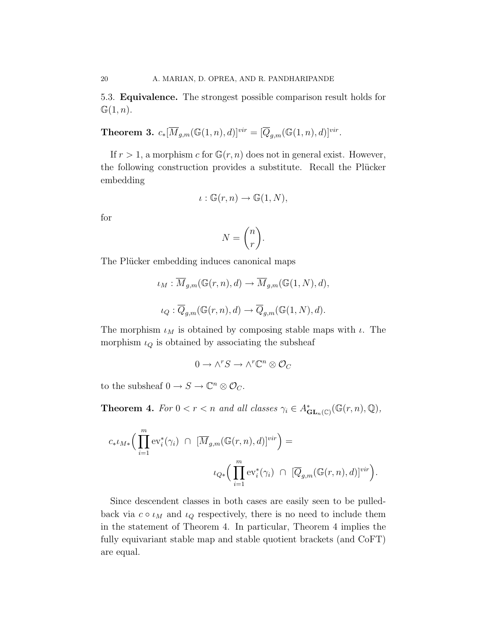5.3. Equivalence. The strongest possible comparison result holds for  $\mathbb{G}(1,n).$ 

Theorem 3.  $c_*[\overline{M}_{g,m}(\mathbb{G}(1,n),d)]^{vir} = [\overline{Q}_{g,m}(\mathbb{G}(1,n),d)]^{vir}.$ 

If  $r > 1$ , a morphism c for  $\mathbb{G}(r, n)$  does not in general exist. However, the following construction provides a substitute. Recall the Plücker embedding

$$
\iota : \mathbb{G}(r,n) \to \mathbb{G}(1,N),
$$

for

$$
N = \binom{n}{r}.
$$

The Plücker embedding induces canonical maps

$$
\iota_M: \overline{M}_{g,m}(\mathbb{G}(r,n),d) \to \overline{M}_{g,m}(\mathbb{G}(1,N),d),
$$
  

$$
\iota_Q: \overline{Q}_{g,m}(\mathbb{G}(r,n),d) \to \overline{Q}_{g,m}(\mathbb{G}(1,N),d).
$$

The morphism  $\iota_M$  is obtained by composing stable maps with  $\iota$ . The morphism  $\iota_Q$  is obtained by associating the subsheaf

$$
0\to \wedge^r S\to \wedge^r\mathbb{C}^n\otimes \mathcal{O}_C
$$

to the subsheaf  $0 \to S \to \mathbb{C}^n \otimes \mathcal{O}_C$ .

**Theorem 4.** For  $0 < r < n$  and all classes  $\gamma_i \in A^*_{GL_n(\mathbb{C})}(\mathbb{G}(r,n), \mathbb{Q}),$ 

$$
c_* \iota_{M*} \Big( \prod_{i=1}^m \text{ev}_i^*(\gamma_i) \ \cap \ [\overline{M}_{g,m}(\mathbb{G}(r,n),d)]^{vir} \Big) =
$$
  

$$
\iota_{Q*} \Big( \prod_{i=1}^m \text{ev}_i^*(\gamma_i) \ \cap \ [\overline{Q}_{g,m}(\mathbb{G}(r,n),d)]^{vir} \Big).
$$

Since descendent classes in both cases are easily seen to be pulledback via  $c \circ \iota_M$  and  $\iota_Q$  respectively, there is no need to include them in the statement of Theorem 4. In particular, Theorem 4 implies the fully equivariant stable map and stable quotient brackets (and CoFT) are equal.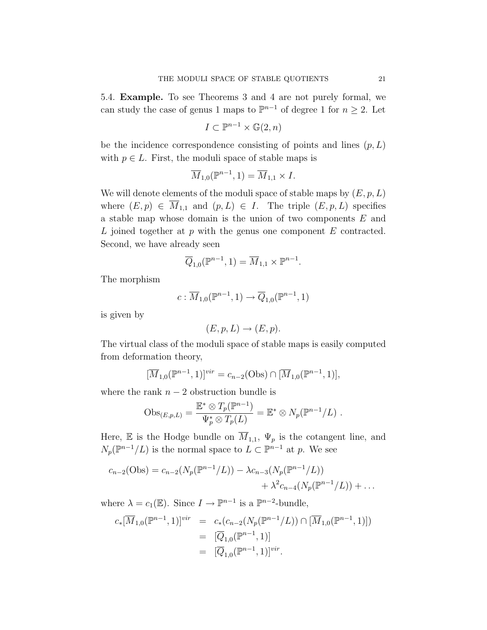5.4. Example. To see Theorems 3 and 4 are not purely formal, we can study the case of genus 1 maps to  $\mathbb{P}^{n-1}$  of degree 1 for  $n \geq 2$ . Let

$$
I \subset \mathbb{P}^{n-1} \times \mathbb{G}(2, n)
$$

be the incidence correspondence consisting of points and lines  $(p, L)$ with  $p \in L$ . First, the moduli space of stable maps is

$$
\overline{M}_{1,0}(\mathbb{P}^{n-1},1)=\overline{M}_{1,1}\times I.
$$

We will denote elements of the moduli space of stable maps by  $(E, p, L)$ where  $(E, p) \in \overline{M}_{1,1}$  and  $(p, L) \in I$ . The triple  $(E, p, L)$  specifies a stable map whose domain is the union of two components  $E$  and  $L$  joined together at  $p$  with the genus one component  $E$  contracted. Second, we have already seen

$$
\overline{Q}_{1,0}(\mathbb{P}^{n-1},1)=\overline{M}_{1,1}\times \mathbb{P}^{n-1}.
$$

The morphism

$$
c:\overline{M}_{1,0}(\mathbb{P}^{n-1},1)\rightarrow \overline{Q}_{1,0}(\mathbb{P}^{n-1},1)
$$

is given by

$$
(E, p, L) \to (E, p).
$$

The virtual class of the moduli space of stable maps is easily computed from deformation theory,

$$
[\overline{M}_{1,0}(\mathbb{P}^{n-1},1)]^{vir} = c_{n-2}(Obs) \cap [\overline{M}_{1,0}(\mathbb{P}^{n-1},1)],
$$

where the rank  $n-2$  obstruction bundle is

$$
Obs_{(E,p,L)} = \frac{\mathbb{E}^* \otimes T_p(\mathbb{P}^{n-1})}{\Psi_p^* \otimes T_p(L)} = \mathbb{E}^* \otimes N_p(\mathbb{P}^{n-1}/L) .
$$

Here, E is the Hodge bundle on  $\overline{M}_{1,1}$ ,  $\Psi_p$  is the cotangent line, and  $N_p(\mathbb{P}^{n-1}/L)$  is the normal space to  $L \subset \mathbb{P}^{n-1}$  at p. We see

$$
c_{n-2}(\text{Obs}) = c_{n-2}(N_p(\mathbb{P}^{n-1}/L)) - \lambda c_{n-3}(N_p(\mathbb{P}^{n-1}/L)) + \lambda^2 c_{n-4}(N_p(\mathbb{P}^{n-1}/L)) + \dots
$$

where  $\lambda = c_1(\mathbb{E})$ . Since  $I \to \mathbb{P}^{n-1}$  is a  $\mathbb{P}^{n-2}$ -bundle,

$$
c_*[\overline{M}_{1,0}(\mathbb{P}^{n-1},1)]^{vir} = c_* (c_{n-2}(N_p(\mathbb{P}^{n-1}/L)) \cap [\overline{M}_{1,0}(\mathbb{P}^{n-1},1)])
$$
  

$$
= [\overline{Q}_{1,0}(\mathbb{P}^{n-1},1)]
$$
  

$$
= [\overline{Q}_{1,0}(\mathbb{P}^{n-1},1)]^{vir}.
$$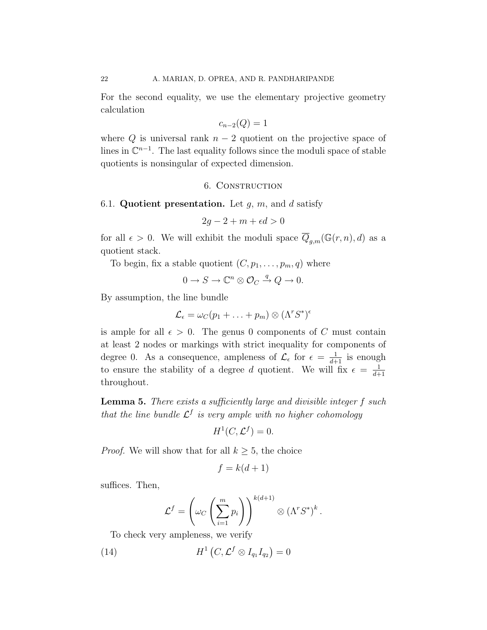For the second equality, we use the elementary projective geometry calculation

$$
c_{n-2}(Q) = 1
$$

where Q is universal rank  $n-2$  quotient on the projective space of lines in  $\mathbb{C}^{n-1}$ . The last equality follows since the moduli space of stable quotients is nonsingular of expected dimension.

#### 6. Construction

#### 6.1. Quotient presentation. Let  $g, m$ , and  $d$  satisfy

 $2a - 2 + m + \epsilon d > 0$ 

for all  $\epsilon > 0$ . We will exhibit the moduli space  $\overline{Q}_{g,m}(\mathbb{G}(r,n),d)$  as a quotient stack.

To begin, fix a stable quotient  $(C, p_1, \ldots, p_m, q)$  where

$$
0 \to S \to \mathbb{C}^n \otimes \mathcal{O}_C \xrightarrow{q} Q \to 0.
$$

By assumption, the line bundle

$$
\mathcal{L}_{\epsilon} = \omega_C(p_1 + \ldots + p_m) \otimes (\Lambda^r S^*)^{\epsilon}
$$

is ample for all  $\epsilon > 0$ . The genus 0 components of C must contain at least 2 nodes or markings with strict inequality for components of degree 0. As a consequence, ampleness of  $\mathcal{L}_{\epsilon}$  for  $\epsilon = \frac{1}{d+1}$  is enough to ensure the stability of a degree d quotient. We will fix  $\epsilon = \frac{1}{d+1}$  $d+1$ throughout.

**Lemma 5.** There exists a sufficiently large and divisible integer f such that the line bundle  $\mathcal{L}^f$  is very ample with no higher cohomology

$$
H^1(C, \mathcal{L}^f) = 0.
$$

*Proof.* We will show that for all  $k \geq 5$ , the choice

$$
f = k(d+1)
$$

suffices. Then,

$$
\mathcal{L}^f = \left(\omega_C \left(\sum_{i=1}^m p_i\right)\right)^{k(d+1)} \otimes (\Lambda^r S^*)^k.
$$

To check very ampleness, we verify

(14) 
$$
H^1\left(C, \mathcal{L}^f \otimes I_{q_1} I_{q_2}\right) = 0
$$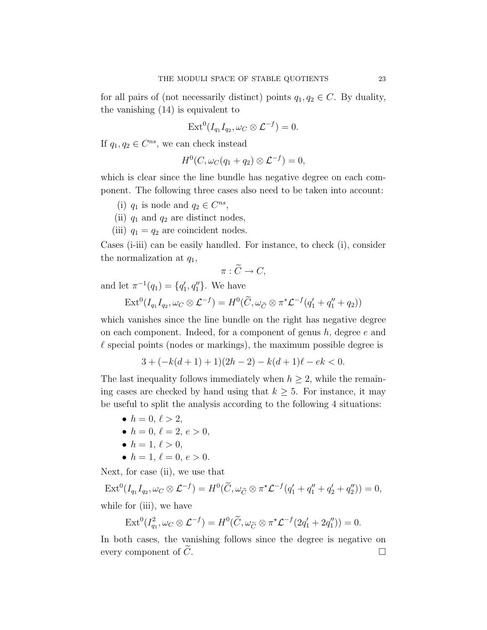for all pairs of (not necessarily distinct) points  $q_1, q_2 \in C$ . By duality, the vanishing (14) is equivalent to

$$
Ext^0(I_{q_1}I_{q_2}, \omega_C \otimes \mathcal{L}^{-f}) = 0.
$$

If  $q_1, q_2 \in C^{ns}$ , we can check instead

$$
H^0(C, \omega_C(q_1+q_2)\otimes \mathcal{L}^{-f})=0,
$$

which is clear since the line bundle has negative degree on each component. The following three cases also need to be taken into account:

- (i)  $q_1$  is node and  $q_2 \in C^{ns}$ ,
- (ii)  $q_1$  and  $q_2$  are distinct nodes,
- (iii)  $q_1 = q_2$  are coincident nodes.

Cases (i-iii) can be easily handled. For instance, to check (i), consider the normalization at  $q_1$ ,

$$
\pi:\widetilde{C}\to C,
$$

and let  $\pi^{-1}(q_1) = \{q'_1, q''_1\}$ . We have

$$
\text{Ext}^0(I_{q_1}I_{q_2}, \omega_C \otimes \mathcal{L}^{-f}) = H^0(\widetilde{C}, \omega_{\widetilde{C}} \otimes \pi^* \mathcal{L}^{-f}(q_1' + q_1'' + q_2))
$$

which vanishes since the line bundle on the right has negative degree on each component. Indeed, for a component of genus  $h$ , degree  $e$  and  $\ell$  special points (nodes or markings), the maximum possible degree is

$$
3 + (-k(d+1) + 1)(2h - 2) - k(d+1)\ell - ek < 0.
$$

The last inequality follows immediately when  $h \geq 2$ , while the remaining cases are checked by hand using that  $k \geq 5$ . For instance, it may be useful to split the analysis according to the following 4 situations:

- $h = 0, \ell > 2$ ,
- $h = 0, \, \ell = 2, \, e > 0,$
- $h = 1, \ell > 0,$
- $h = 1, \ell = 0, e > 0.$

Next, for case (ii), we use that

 $\mathrm{Ext}^{0}(I_{q_{1}}I_{q_{2}}, \omega_{C} \otimes \mathcal{L}^{-f}) = H^{0}(\widetilde{C}, \omega_{\widetilde{C}} \otimes \pi^{*}\mathcal{L}^{-f}(q_{1}^{\prime} + q_{1}^{\prime\prime} + q_{2}^{\prime} + q_{2}^{\prime\prime})) = 0,$ while for *(iii)*, we have

$$
\operatorname{Ext}^0(I_{q_1}^2, \omega_C \otimes \mathcal{L}^{-f}) = H^0(\widetilde{C}, \omega_{\widetilde{C}} \otimes \pi^{\star} \mathcal{L}^{-f}(2q_1' + 2q_1'')) = 0.
$$

In both cases, the vanishing follows since the degree is negative on every component of  $\tilde{C}$ .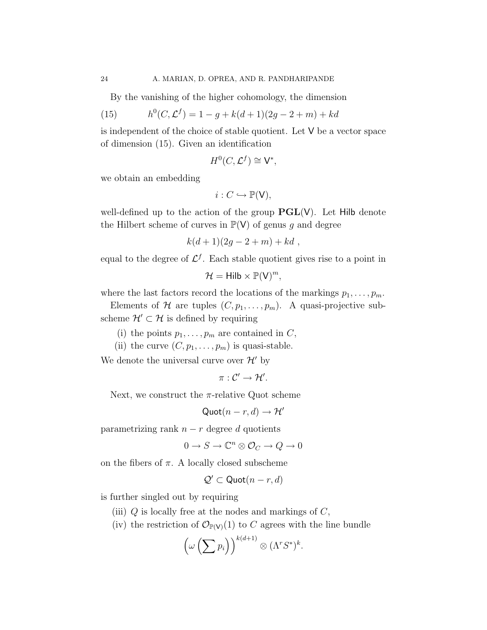By the vanishing of the higher cohomology, the dimension

(15) 
$$
h^0(C, \mathcal{L}^f) = 1 - g + k(d+1)(2g - 2 + m) + kd
$$

is independent of the choice of stable quotient. Let V be a vector space of dimension (15). Given an identification

$$
H^0(C, \mathcal{L}^f) \cong \mathsf{V}^*,
$$

we obtain an embedding

$$
i:C\hookrightarrow \mathbb{P}(\mathsf{V}),
$$

well-defined up to the action of the group  $PGL(V)$ . Let Hilb denote the Hilbert scheme of curves in  $\mathbb{P}(V)$  of genus g and degree

$$
k(d+1)(2g-2+m)+kd,
$$

equal to the degree of  $\mathcal{L}^{f}$ . Each stable quotient gives rise to a point in

$$
\mathcal{H} = \mathsf{Hilb} \times \mathbb{P}(V)^m,
$$

where the last factors record the locations of the markings  $p_1, \ldots, p_m$ .

Elements of H are tuples  $(C, p_1, \ldots, p_m)$ . A quasi-projective subscheme  $\mathcal{H}' \subset \mathcal{H}$  is defined by requiring

- (i) the points  $p_1, \ldots, p_m$  are contained in C,
- (ii) the curve  $(C, p_1, \ldots, p_m)$  is quasi-stable.

We denote the universal curve over  $\mathcal{H}'$  by

 $\pi:\mathcal{C}'\to\mathcal{H}'.$ 

Next, we construct the  $\pi$ -relative Quot scheme

$$
\mathsf{Quot}(n-r,d)\to \mathcal{H}'
$$

parametrizing rank  $n - r$  degree d quotients

 $0 \to S \to \mathbb{C}^n \otimes \mathcal{O}_C \to Q \to 0$ 

on the fibers of  $\pi$ . A locally closed subscheme

$$
\mathcal{Q}' \subset \text{Quot}(n-r,d)
$$

is further singled out by requiring

- (iii)  $Q$  is locally free at the nodes and markings of  $C$ ,
- (iv) the restriction of  $\mathcal{O}_{\mathbb{P}(V)}(1)$  to C agrees with the line bundle

$$
\left(\omega\left(\sum p_i\right)\right)^{k(d+1)}\otimes (\Lambda^rS^*)^k.
$$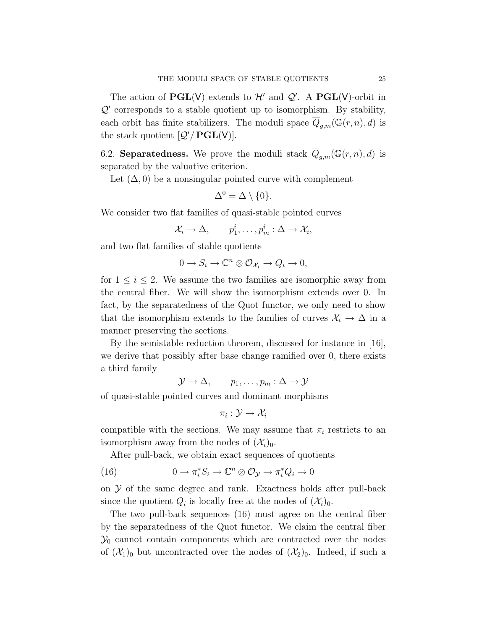The action of  $\mathbf{PGL}(V)$  extends to  $\mathcal{H}'$  and  $\mathcal{Q}'$ . A  $\mathbf{PGL}(V)$ -orbit in  $Q'$  corresponds to a stable quotient up to isomorphism. By stability, each orbit has finite stabilizers. The moduli space  $\overline{Q}_{q,m}(\mathbb{G}(r,n),d)$  is the stack quotient  $[Q'/PGL(V)]$ .

6.2. **Separatedness.** We prove the moduli stack  $\overline{Q}_{g,m}(\mathbb{G}(r,n),d)$  is separated by the valuative criterion.

Let  $(\Delta, 0)$  be a nonsingular pointed curve with complement

$$
\Delta^0 = \Delta \setminus \{0\}.
$$

We consider two flat families of quasi-stable pointed curves

$$
\mathcal{X}_i \to \Delta, \qquad p_1^i, \ldots, p_m^i : \Delta \to \mathcal{X}_i,
$$

and two flat families of stable quotients

$$
0 \to S_i \to \mathbb{C}^n \otimes \mathcal{O}_{\mathcal{X}_i} \to Q_i \to 0,
$$

for  $1 \leq i \leq 2$ . We assume the two families are isomorphic away from the central fiber. We will show the isomorphism extends over 0. In fact, by the separatedness of the Quot functor, we only need to show that the isomorphism extends to the families of curves  $\mathcal{X}_i \to \Delta$  in a manner preserving the sections.

By the semistable reduction theorem, discussed for instance in [16], we derive that possibly after base change ramified over 0, there exists a third family

 $\mathcal{Y} \to \Delta, \qquad p_1, \ldots, p_m : \Delta \to \mathcal{Y}$ 

of quasi-stable pointed curves and dominant morphisms

$$
\pi_i: \mathcal{Y} \rightarrow \mathcal{X}_i
$$

compatible with the sections. We may assume that  $\pi_i$  restricts to an isomorphism away from the nodes of  $(\mathcal{X}_i)_0$ .

After pull-back, we obtain exact sequences of quotients

(16) 
$$
0 \to \pi_i^* S_i \to \mathbb{C}^n \otimes \mathcal{O}_{\mathcal{Y}} \to \pi_i^* Q_i \to 0
$$

on  $\mathcal Y$  of the same degree and rank. Exactness holds after pull-back since the quotient  $Q_i$  is locally free at the nodes of  $(\mathcal{X}_i)_0$ .

The two pull-back sequences (16) must agree on the central fiber by the separatedness of the Quot functor. We claim the central fiber  $\mathcal{Y}_0$  cannot contain components which are contracted over the nodes of  $(\mathcal{X}_1)_0$  but uncontracted over the nodes of  $(\mathcal{X}_2)_0$ . Indeed, if such a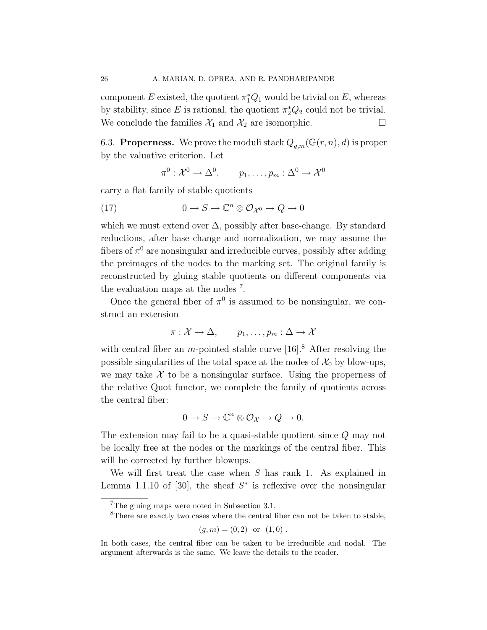component E existed, the quotient  $\pi_1^* Q_1$  would be trivial on E, whereas by stability, since E is rational, the quotient  $\pi_2^*Q_2$  could not be trivial. We conclude the families  $\mathcal{X}_1$  and  $\mathcal{X}_2$  are isomorphic.  $\Box$ 

6.3. **Properness.** We prove the moduli stack  $\overline{Q}_{g,m}(\mathbb{G}(r,n),d)$  is proper by the valuative criterion. Let

$$
\pi^0: \mathcal{X}^0 \to \Delta^0, \qquad p_1, \ldots, p_m: \Delta^0 \to \mathcal{X}^0
$$

carry a flat family of stable quotients

(17) 
$$
0 \to S \to \mathbb{C}^n \otimes \mathcal{O}_{\mathcal{X}^0} \to Q \to 0
$$

which we must extend over  $\Delta$ , possibly after base-change. By standard reductions, after base change and normalization, we may assume the fibers of  $\pi^0$  are nonsingular and irreducible curves, possibly after adding the preimages of the nodes to the marking set. The original family is reconstructed by gluing stable quotients on different components via the evaluation maps at the nodes<sup>7</sup>.

Once the general fiber of  $\pi^0$  is assumed to be nonsingular, we construct an extension

$$
\pi: \mathcal{X} \to \Delta, \qquad p_1, \ldots, p_m: \Delta \to \mathcal{X}
$$

with central fiber an m-pointed stable curve  $[16]$ <sup>8</sup>. After resolving the possible singularities of the total space at the nodes of  $\mathcal{X}_0$  by blow-ups, we may take  $\mathcal X$  to be a nonsingular surface. Using the properness of the relative Quot functor, we complete the family of quotients across the central fiber:

$$
0 \to S \to \mathbb{C}^n \otimes \mathcal{O}_{\mathcal{X}} \to Q \to 0.
$$

The extension may fail to be a quasi-stable quotient since Q may not be locally free at the nodes or the markings of the central fiber. This will be corrected by further blowups.

We will first treat the case when  $S$  has rank 1. As explained in Lemma 1.1.10 of [30], the sheaf  $S^*$  is reflexive over the nonsingular

 ${}^{8}$ There are exactly two cases where the central fiber can not be taken to stable,

$$
(g,m) = (0,2)
$$
 or  $(1,0)$ .

<sup>7</sup>The gluing maps were noted in Subsection 3.1.

In both cases, the central fiber can be taken to be irreducible and nodal. The argument afterwards is the same. We leave the details to the reader.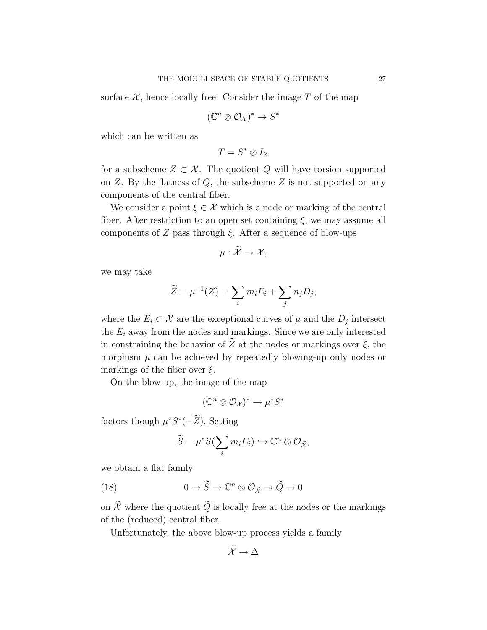surface  $\mathcal{X}$ , hence locally free. Consider the image  $T$  of the map

$$
(\mathbb{C}^n \otimes \mathcal{O}_\mathcal{X})^* \to S^*
$$

which can be written as

$$
T=S^*\otimes I_Z
$$

for a subscheme  $Z \subset \mathcal{X}$ . The quotient Q will have torsion supported on  $Z$ . By the flatness of  $Q$ , the subscheme  $Z$  is not supported on any components of the central fiber.

We consider a point  $\xi \in \mathcal{X}$  which is a node or marking of the central fiber. After restriction to an open set containing  $\xi$ , we may assume all components of  $Z$  pass through  $\xi$ . After a sequence of blow-ups

$$
\mu:\widetilde{\mathcal{X}}\to\mathcal{X},
$$

we may take

$$
\widetilde{Z} = \mu^{-1}(Z) = \sum_i m_i E_i + \sum_j n_j D_j,
$$

where the  $E_i \subset \mathcal{X}$  are the exceptional curves of  $\mu$  and the  $D_j$  intersect the  $E_i$  away from the nodes and markings. Since we are only interested in constraining the behavior of  $\widetilde{Z}$  at the nodes or markings over  $\xi$ , the morphism  $\mu$  can be achieved by repeatedly blowing-up only nodes or markings of the fiber over  $\xi$ .

On the blow-up, the image of the map

$$
(\mathbb{C}^n \otimes \mathcal{O}_\mathcal{X})^* \to \mu^* S^*
$$

factors though  $\mu^* S^*(-\overline{Z})$ . Setting

$$
\widetilde{S} = \mu^* S(\sum_i m_i E_i) \hookrightarrow \mathbb{C}^n \otimes \mathcal{O}_{\widetilde{\mathcal{X}}},
$$

we obtain a flat family

(18) 
$$
0 \to \widetilde{S} \to \mathbb{C}^n \otimes \mathcal{O}_{\widetilde{\mathcal{X}}} \to \widetilde{Q} \to 0
$$

on  $\widetilde{\mathcal{X}}$  where the quotient  $\widetilde{Q}$  is locally free at the nodes or the markings of the (reduced) central fiber.

Unfortunately, the above blow-up process yields a family

$$
\widetilde{\mathcal{X}} \to \Delta
$$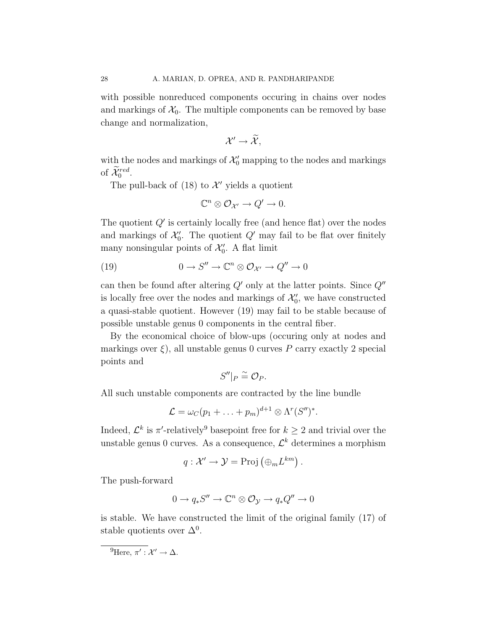with possible nonreduced components occuring in chains over nodes and markings of  $\mathcal{X}_0$ . The multiple components can be removed by base change and normalization,

$$
\mathcal{X}'\rightarrow\widetilde{\mathcal{X}},
$$

with the nodes and markings of  $\mathcal{X}'_0$  mapping to the nodes and markings of  $\widetilde{\mathcal{X}}_0^{red}$ .

The pull-back of  $(18)$  to  $\mathcal{X}'$  yields a quotient

$$
\mathbb{C}^n \otimes \mathcal{O}_{\mathcal{X}'} \to Q' \to 0.
$$

The quotient  $Q'$  is certainly locally free (and hence flat) over the nodes and markings of  $\mathcal{X}'_0$ . The quotient  $Q'$  may fail to be flat over finitely many nonsingular points of  $\mathcal{X}'_0$ . A flat limit

(19) 
$$
0 \to S'' \to \mathbb{C}^n \otimes \mathcal{O}_{\mathcal{X}'} \to Q'' \to 0
$$

can then be found after altering  $Q'$  only at the latter points. Since  $Q''$ is locally free over the nodes and markings of  $\mathcal{X}'_0$ , we have constructed a quasi-stable quotient. However (19) may fail to be stable because of possible unstable genus 0 components in the central fiber.

By the economical choice of blow-ups (occuring only at nodes and markings over  $\xi$ ), all unstable genus 0 curves P carry exactly 2 special points and

$$
S''|_P \cong \mathcal{O}_P.
$$

All such unstable components are contracted by the line bundle

$$
\mathcal{L} = \omega_C (p_1 + \ldots + p_m)^{d+1} \otimes \Lambda^r(S'')^*.
$$

Indeed,  $\mathcal{L}^k$  is  $\pi'$ -relatively<sup>9</sup> basepoint free for  $k \geq 2$  and trivial over the unstable genus 0 curves. As a consequence,  $\mathcal{L}^k$  determines a morphism

$$
q: \mathcal{X}' \to \mathcal{Y} = \text{Proj}(\bigoplus_m L^{km}) .
$$

The push-forward

$$
0 \to q_*S'' \to \mathbb{C}^n \otimes \mathcal{O}_{\mathcal{Y}} \to q_*Q'' \to 0
$$

is stable. We have constructed the limit of the original family (17) of stable quotients over  $\Delta^0$ .

<sup>&</sup>lt;sup>9</sup>Here,  $\pi': \mathcal{X}' \to \Delta$ .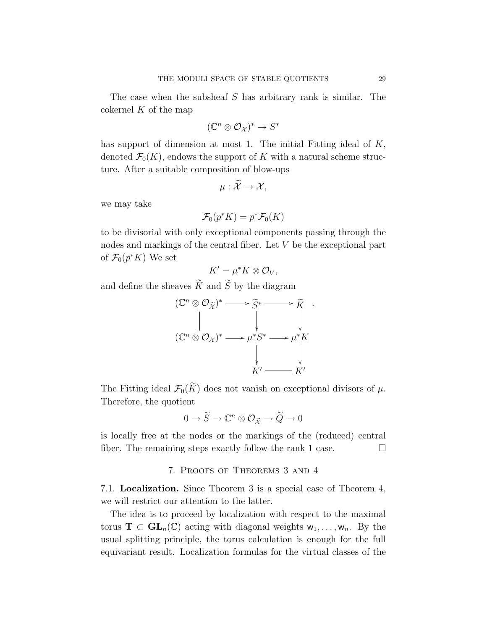The case when the subsheaf  $S$  has arbitrary rank is similar. The cokernel  $K$  of the map

$$
(\mathbb{C}^n \otimes \mathcal{O}_\mathcal{X})^* \to S^*
$$

has support of dimension at most 1. The initial Fitting ideal of K, denoted  $\mathcal{F}_0(K)$ , endows the support of K with a natural scheme structure. After a suitable composition of blow-ups

$$
\mu:\widetilde{\mathcal{X}}\to\mathcal{X},
$$

we may take

$$
\mathcal{F}_0(p^*K) = p^*\mathcal{F}_0(K)
$$

to be divisorial with only exceptional components passing through the nodes and markings of the central fiber. Let V be the exceptional part of  $\mathcal{F}_0(p^*K)$  We set

$$
K'=\mu^*K\otimes\mathcal{O}_V,
$$

and define the sheaves  $\widetilde{K}$  and  $\widetilde{S}$  by the diagram

$$
(\mathbb{C}^n \otimes \mathcal{O}_{\widetilde{\mathcal{X}}})^* \longrightarrow \widetilde{S}^* \longrightarrow \widetilde{K}.
$$
  

$$
(\mathbb{C}^n \otimes \mathcal{O}_{\mathcal{X}})^* \longrightarrow \mu^* S^* \longrightarrow \mu^* K
$$
  

$$
\downarrow \qquad \qquad \downarrow
$$
  

$$
K' \longrightarrow K'
$$

The Fitting ideal  $\mathcal{F}_0(\widetilde{K})$  does not vanish on exceptional divisors of  $\mu$ . Therefore, the quotient

$$
0\to \widetilde{S}\to \mathbb{C}^n\otimes \mathcal{O}_{\widetilde{\mathcal{X}}}\to \widetilde{Q}\to 0
$$

is locally free at the nodes or the markings of the (reduced) central fiber. The remaining steps exactly follow the rank 1 case.  $\Box$ 

# 7. Proofs of Theorems 3 and 4

7.1. Localization. Since Theorem 3 is a special case of Theorem 4, we will restrict our attention to the latter.

The idea is to proceed by localization with respect to the maximal torus  $\mathbf{T} \subset \mathbf{GL}_n(\mathbb{C})$  acting with diagonal weights  $w_1, \ldots, w_n$ . By the usual splitting principle, the torus calculation is enough for the full equivariant result. Localization formulas for the virtual classes of the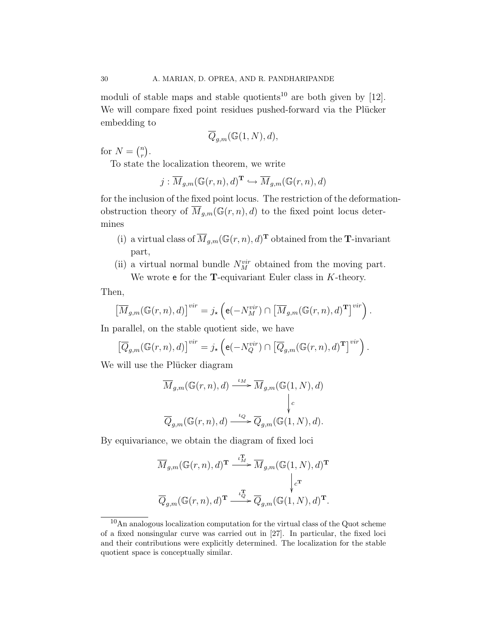moduli of stable maps and stable quotients<sup>10</sup> are both given by [12]. We will compare fixed point residues pushed-forward via the Plücker embedding to

$$
\overline{Q}_{g,m}(\mathbb{G}(1,N),d),
$$

for  $N = \binom{n}{r}$  $\binom{n}{r}$ .

To state the localization theorem, we write

$$
j: \overline{M}_{g,m}(\mathbb{G}(r,n),d)^{\mathbf{T}} \hookrightarrow \overline{M}_{g,m}(\mathbb{G}(r,n),d)
$$

for the inclusion of the fixed point locus. The restriction of the deformationobstruction theory of  $\overline{M}_{g,m}(\mathbb{G}(r,n),d)$  to the fixed point locus determines

- (i) a virtual class of  $\overline{M}_{g,m}(\mathbb{G}(r,n),d)^{\mathrm{T}}$  obtained from the T-invariant part,
- (ii) a virtual normal bundle  $N_M^{vir}$  obtained from the moving part. We wrote  $e$  for the **T**-equivariant Euler class in  $K$ -theory.

Then,

$$
\left[\overline{M}_{g,m}(\mathbb{G}(r,n),d)\right]^{vir} = j_{\star}\left(\mathbf{e}(-N_M^{vir}) \cap \left[\overline{M}_{g,m}(\mathbb{G}(r,n),d)^{\mathbf{T}}\right]^{vir}\right).
$$

In parallel, on the stable quotient side, we have

$$
\left[\overline{Q}_{g,m}(\mathbb{G}(r,n),d)\right]^{vir} = j_{\star}\left(\mathbf{e}(-N_{Q}^{vir})\cap\left[\overline{Q}_{g,m}(\mathbb{G}(r,n),d)^{\mathbf{T}}\right]^{vir}\right).
$$

We will use the Plücker diagram

$$
\begin{aligned} &\overline{M}_{g,m}(\mathbb{G}(r,n), d) \xrightarrow{\iota_M} \overline{M}_{g,m}(\mathbb{G}(1,N), d) \\ &\Big\vert_{c} \\ &\overline{Q}_{g,m}(\mathbb{G}(r,n), d) \xrightarrow{\iota_Q} \overline{Q}_{g,m}(\mathbb{G}(1,N), d). \end{aligned}
$$

By equivariance, we obtain the diagram of fixed loci

$$
\begin{aligned} & \overline{M}_{g,m}(\mathbb{G}(r,n), d)^{\mathbf{T}} \xrightarrow{\iota_M^{\mathbf{T}}} \overline{M}_{g,m}(\mathbb{G}(1,N), d)^{\mathbf{T}} \\ & \hspace{1cm} \Big\downarrow_{c^{\mathbf{T}}}^c \\ & \overline{Q}_{g,m}(\mathbb{G}(r,n), d)^{\mathbf{T}} \xrightarrow{\iota_Q^{\mathbf{T}}} \overline{Q}_{g,m}(\mathbb{G}(1,N), d)^{\mathbf{T}}. \end{aligned}
$$

<sup>10</sup>An analogous localization computation for the virtual class of the Quot scheme of a fixed nonsingular curve was carried out in [27]. In particular, the fixed loci and their contributions were explicitly determined. The localization for the stable quotient space is conceptually similar.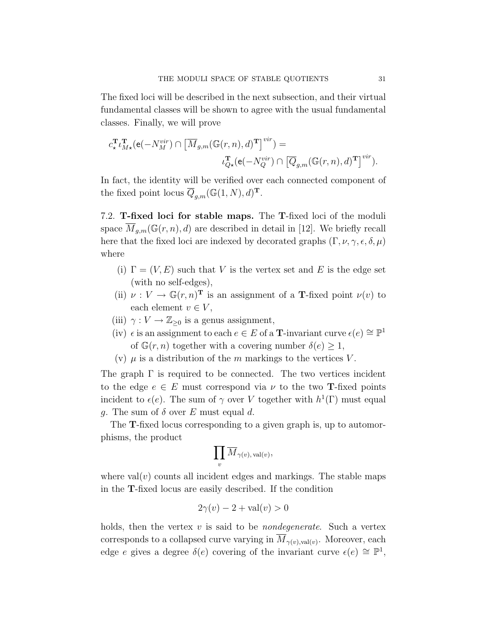The fixed loci will be described in the next subsection, and their virtual fundamental classes will be shown to agree with the usual fundamental classes. Finally, we will prove

$$
c^{\mathbf{T}}_{\star} \iota^{\mathbf{T}}_{M\star}(\mathbf{e}(-N^{vir}_M) \cap \left[ \overline{M}_{g,m}(\mathbb{G}(r,n),d)^{\mathbf{T}} \right]^{\text{vir}}) =
$$
  

$$
\iota^{\mathbf{T}}_{Q\star}(\mathbf{e}(-N^{vir}_Q) \cap \left[ \overline{Q}_{g,m}(\mathbb{G}(r,n),d)^{\mathbf{T}} \right]^{\text{vir}}).
$$

In fact, the identity will be verified over each connected component of the fixed point locus  $\overline{Q}_{g,m}(\mathbb{G}(1,N),d)^{\mathbf{T}}$ .

7.2. T-fixed loci for stable maps. The T-fixed loci of the moduli space  $\overline{M}_{g,m}(\mathbb{G}(r,n),d)$  are described in detail in [12]. We briefly recall here that the fixed loci are indexed by decorated graphs  $(\Gamma, \nu, \gamma, \epsilon, \delta, \mu)$ where

- (i)  $\Gamma = (V, E)$  such that V is the vertex set and E is the edge set (with no self-edges),
- (ii)  $\nu: V \to \mathbb{G}(r,n)^{\mathbf{T}}$  is an assignment of a **T**-fixed point  $\nu(v)$  to each element  $v \in V$ ,
- (iii)  $\gamma: V \to \mathbb{Z}_{\geq 0}$  is a genus assignment,
- (iv)  $\epsilon$  is an assignment to each  $e \in E$  of a **T**-invariant curve  $\epsilon(e) \cong \mathbb{P}^1$ of  $\mathbb{G}(r,n)$  together with a covering number  $\delta(e) \geq 1$ ,
- (v)  $\mu$  is a distribution of the m markings to the vertices V.

The graph  $\Gamma$  is required to be connected. The two vertices incident to the edge  $e \in E$  must correspond via  $\nu$  to the two **T**-fixed points incident to  $\epsilon(e)$ . The sum of  $\gamma$  over V together with  $h^1(\Gamma)$  must equal q. The sum of  $\delta$  over E must equal d.

The T-fixed locus corresponding to a given graph is, up to automorphisms, the product

$$
\prod_v \overline{M}_{\gamma(v),\,\text{val}(v)},
$$

where  $val(v)$  counts all incident edges and markings. The stable maps in the T-fixed locus are easily described. If the condition

$$
2\gamma(v) - 2 + \text{val}(v) > 0
$$

holds, then the vertex  $v$  is said to be *nondegenerate*. Such a vertex corresponds to a collapsed curve varying in  $M_{\gamma(v),\text{val}(v)}$ . Moreover, each edge e gives a degree  $\delta(e)$  covering of the invariant curve  $\epsilon(e) \cong \mathbb{P}^1$ ,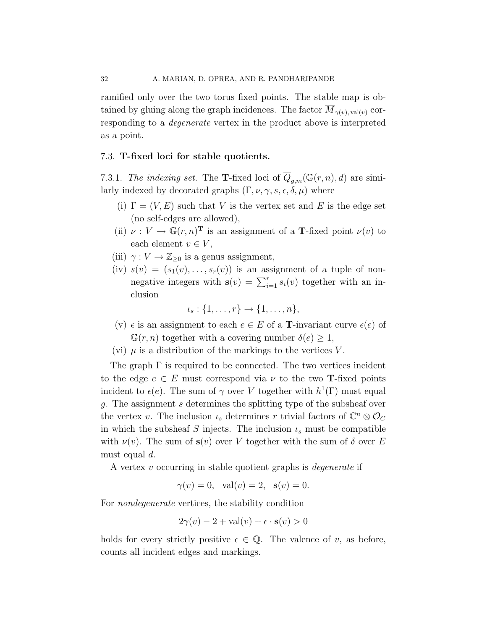ramified only over the two torus fixed points. The stable map is obtained by gluing along the graph incidences. The factor  $\overline{M}_{\gamma(v), \text{val}(v)}$  corresponding to a degenerate vertex in the product above is interpreted as a point.

### 7.3. T-fixed loci for stable quotients.

7.3.1. The indexing set. The **T**-fixed loci of  $\overline{Q}_{g,m}(\mathbb{G}(r,n),d)$  are similarly indexed by decorated graphs  $(\Gamma, \nu, \gamma, s, \epsilon, \delta, \mu)$  where

- (i)  $\Gamma = (V, E)$  such that V is the vertex set and E is the edge set (no self-edges are allowed),
- (ii)  $\nu: V \to \mathbb{G}(r,n)^{\mathbf{T}}$  is an assignment of a **T**-fixed point  $\nu(v)$  to each element  $v \in V$ ,
- (iii)  $\gamma: V \to \mathbb{Z}_{\geq 0}$  is a genus assignment,
- (iv)  $s(v) = (s_1(v), \ldots, s_r(v))$  is an assignment of a tuple of nonnegative integers with  $\mathbf{s}(v) = \sum_{i=1}^{r} s_i(v)$  together with an inclusion

$$
\iota_s: \{1,\ldots,r\} \to \{1,\ldots,n\},\
$$

- (v)  $\epsilon$  is an assignment to each  $e \in E$  of a **T**-invariant curve  $\epsilon(e)$  of  $\mathbb{G}(r,n)$  together with a covering number  $\delta(e) \geq 1$ ,
- (vi)  $\mu$  is a distribution of the markings to the vertices V.

The graph  $\Gamma$  is required to be connected. The two vertices incident to the edge  $e \in E$  must correspond via  $\nu$  to the two **T**-fixed points incident to  $\epsilon(e)$ . The sum of  $\gamma$  over V together with  $h^1(\Gamma)$  must equal g. The assignment s determines the splitting type of the subsheaf over the vertex v. The inclusion  $\iota_s$  determines r trivial factors of  $\mathbb{C}^n \otimes \mathcal{O}_C$ in which the subsheaf S injects. The inclusion  $\iota_s$  must be compatible with  $\nu(v)$ . The sum of  $s(v)$  over V together with the sum of  $\delta$  over E must equal d.

A vertex v occurring in stable quotient graphs is degenerate if

$$
\gamma(v) = 0
$$
, val $(v) = 2$ , s $(v) = 0$ .

For nondegenerate vertices, the stability condition

$$
2\gamma(v) - 2 + \text{val}(v) + \epsilon \cdot \mathbf{s}(v) > 0
$$

holds for every strictly positive  $\epsilon \in \mathbb{Q}$ . The valence of v, as before, counts all incident edges and markings.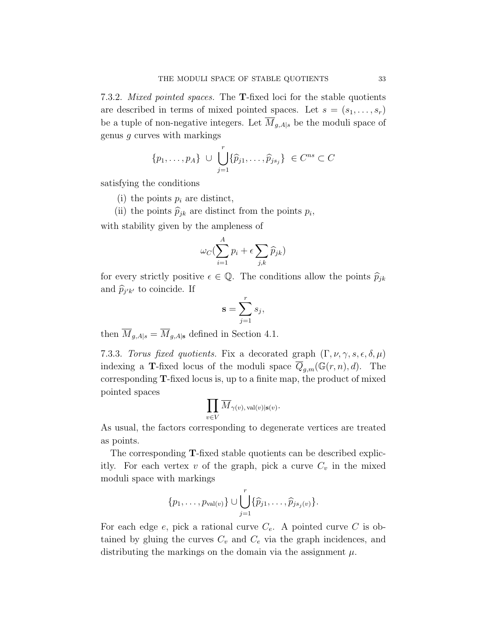7.3.2. *Mixed pointed spaces*. The **T**-fixed loci for the stable quotients are described in terms of mixed pointed spaces. Let  $s = (s_1, \ldots, s_r)$ be a tuple of non-negative integers. Let  $\overline{M}_{g,A|s}$  be the moduli space of genus g curves with markings

$$
\{p_1,\ldots,p_A\} \cup \bigcup_{j=1}^r \{\widehat{p}_{j1},\ldots,\widehat{p}_{js_j}\} \in C^{ns} \subset C
$$

satisfying the conditions

(i) the points  $p_i$  are distinct,

(ii) the points  $\widehat{p}_{jk}$  are distinct from the points  $p_i$ , with stability given by the ampleness of

$$
\omega_C(\sum_{i=1}^A p_i + \epsilon \sum_{j,k} \widehat{p}_{jk})
$$

for every strictly positive  $\epsilon \in \mathbb{Q}$ . The conditions allow the points  $\widehat{p}_{jk}$ and  $\widehat{p}_{j'k'}$  to coincide. If

$$
\mathbf{s} = \sum_{j=1}^{r} s_j,
$$

then  $\overline{M}_{g,A|s} = \overline{M}_{g,A|s}$  defined in Section 4.1.

7.3.3. Torus fixed quotients. Fix a decorated graph  $(\Gamma, \nu, \gamma, s, \epsilon, \delta, \mu)$ indexing a **T**-fixed locus of the moduli space  $\overline{Q}_{g,m}(\mathbb{G}(r,n),d)$ . The corresponding T-fixed locus is, up to a finite map, the product of mixed pointed spaces

$$
\prod_{v\in V}\overline{M}_{\gamma(v),\,\text{val}(v)|\mathbf{s}(v)}.
$$

As usual, the factors corresponding to degenerate vertices are treated as points.

The corresponding T-fixed stable quotients can be described explicitly. For each vertex  $v$  of the graph, pick a curve  $C_v$  in the mixed moduli space with markings

$$
\{p_1,\ldots,p_{val(v)}\}\cup \bigcup_{j=1}^r \{\widehat{p}_{j1},\ldots,\widehat{p}_{js_j(v)}\}.
$$

For each edge  $e$ , pick a rational curve  $C_e$ . A pointed curve C is obtained by gluing the curves  $C_v$  and  $C_e$  via the graph incidences, and distributing the markings on the domain via the assignment  $\mu$ .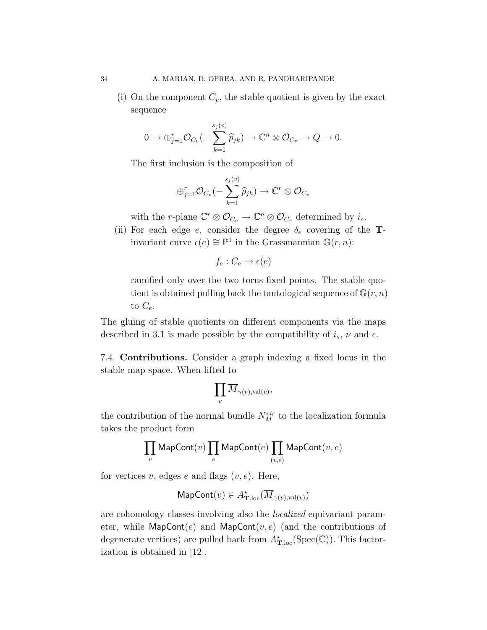(i) On the component  $C_v$ , the stable quotient is given by the exact sequence

$$
0 \to \bigoplus_{j=1}^r \mathcal{O}_{C_v}(-\sum_{k=1}^{s_j(v)} \widehat{p}_{jk}) \to \mathbb{C}^n \otimes \mathcal{O}_{C_v} \to Q \to 0.
$$

The first inclusion is the composition of

$$
\oplus_{j=1}^r \mathcal{O}_{C_v}(-\sum_{k=1}^{s_j(v)} \widehat{p}_{jk}) \to \mathbb{C}^r \otimes \mathcal{O}_{C_v}
$$

with the *r*-plane  $\mathbb{C}^r \otimes \mathcal{O}_{C_v} \to \mathbb{C}^n \otimes \mathcal{O}_{C_v}$  determined by  $i_s$ .

(ii) For each edge e, consider the degree  $\delta_e$  covering of the Tinvariant curve  $\epsilon(e) \cong \mathbb{P}^1$  in the Grassmannian  $\mathbb{G}(r,n)$ :

$$
f_e: C_e \to \epsilon(e)
$$

ramified only over the two torus fixed points. The stable quotient is obtained pulling back the tautological sequence of  $\mathbb{G}(r,n)$ to  $C_e$ .

The gluing of stable quotients on different components via the maps described in 3.1 is made possible by the compatibility of  $i_s$ ,  $\nu$  and  $\epsilon$ .

7.4. Contributions. Consider a graph indexing a fixed locus in the stable map space. When lifted to

$$
\prod_v \overline{M}_{\gamma(v),\text{val}(v)},
$$

the contribution of the normal bundle  $N_M^{vir}$  to the localization formula takes the product form

$$
\prod_v \mathsf{MapCont}(v) \prod_e \mathsf{MapCont}(e) \prod_{(v,e)} \mathsf{MapCont}(v,e)
$$

for vertices v, edges e and flags  $(v, e)$ . Here,

$$
\mathsf{MapCont}(v) \in A_{\mathbf{T},\mathrm{loc}}^\star(\overline{M}_{\gamma(v),\mathrm{val}(v)})
$$

are cohomology classes involving also the *localized* equivariant parameter, while  $\mathsf{MapCont}(e)$  and  $\mathsf{MapCont}(v,e)$  (and the contributions of degenerate vertices) are pulled back from  $A^{\star}_{\mathbf{T},\text{loc}}(\mathrm{Spec}(\mathbb{C}))$ . This factorization is obtained in [12].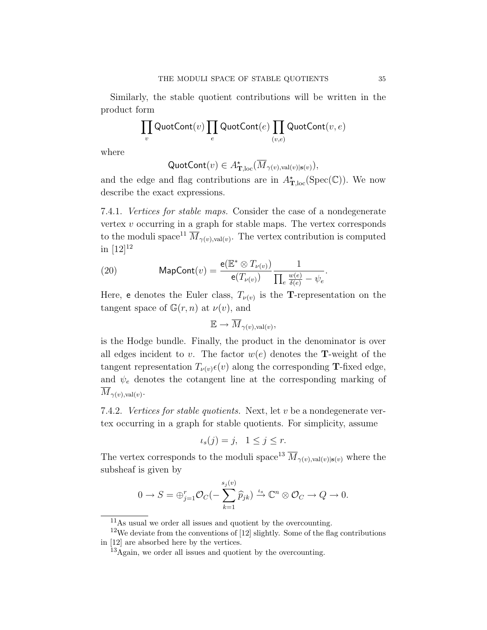Similarly, the stable quotient contributions will be written in the product form

$$
\prod_v \mathsf{QuotCont}(v) \prod_e \mathsf{QuotCont}(e) \prod_{(v,e)} \mathsf{QuotCont}(v,e)
$$

where

$$
\mathsf{QuotCont}(v) \in A_{\mathbf{T},\mathrm{loc}}^\star(\overline{M}_{\gamma(v),\mathrm{val}(v)|\mathbf{s}(v)}),
$$

and the edge and flag contributions are in  $A_{\mathbf{T},\text{loc}}^{\star}(\text{Spec}(\mathbb{C}))$ . We now describe the exact expressions.

7.4.1. Vertices for stable maps. Consider the case of a nondegenerate vertex v occurring in a graph for stable maps. The vertex corresponds to the moduli space<sup>11</sup>  $\overline{M}_{\gamma(v),\text{val}(v)}$ . The vertex contribution is computed in  $[12]^{12}$ 

(20) MapCont(v) = 
$$
\frac{\mathbf{e}(\mathbb{E}^* \otimes T_{\nu(v)})}{\mathbf{e}(T_{\nu(v)})} \frac{1}{\prod_e \frac{w(e)}{\delta(e)} - \psi_e}.
$$

Here, e denotes the Euler class,  $T_{\nu(v)}$  is the **T**-representation on the tangent space of  $\mathbb{G}(r,n)$  at  $\nu(v)$ , and

$$
\mathbb{E} \to \overline{M}_{\gamma(v), \text{val}(v)},
$$

is the Hodge bundle. Finally, the product in the denominator is over all edges incident to v. The factor  $w(e)$  denotes the **T**-weight of the tangent representation  $T_{\nu(v)}\epsilon(v)$  along the corresponding **T**-fixed edge, and  $\psi_e$  denotes the cotangent line at the corresponding marking of  $\overline{M}_{\gamma(v),\text{val}(v)}$ .

7.4.2. Vertices for stable quotients. Next, let v be a nondegenerate vertex occurring in a graph for stable quotients. For simplicity, assume

$$
\iota_s(j) = j, \quad 1 \le j \le r.
$$

The vertex corresponds to the moduli space<sup>13</sup>  $\overline{M}_{\gamma(v),\text{val}(v)|s(v)}$  where the subsheaf is given by

$$
0 \to S = \bigoplus_{j=1}^r \mathcal{O}_C(-\sum_{k=1}^{s_j(v)} \widehat{p}_{jk}) \xrightarrow{\iota_s} \mathbb{C}^n \otimes \mathcal{O}_C \to Q \to 0.
$$

<sup>11</sup>As usual we order all issues and quotient by the overcounting.

 $12$ We deviate from the conventions of [12] slightly. Some of the flag contributions in [12] are absorbed here by the vertices.

<sup>13</sup>Again, we order all issues and quotient by the overcounting.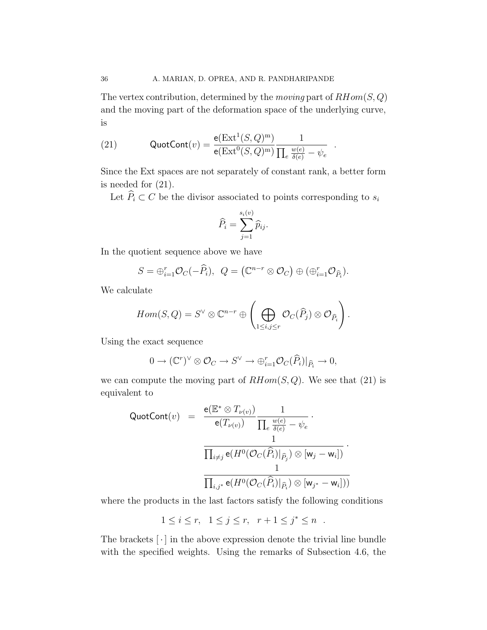The vertex contribution, determined by the *moving* part of  $RHom(S, Q)$ and the moving part of the deformation space of the underlying curve, is

.

(21) 
$$
\text{QuotCont}(v) = \frac{e(\text{Ext}^1(S, Q)^m)}{e(\text{Ext}^0(S, Q)^m)} \frac{1}{\prod_e \frac{w(e)}{\delta(e)} - \psi_e}
$$

Since the Ext spaces are not separately of constant rank, a better form is needed for (21).

Let  $\widehat{P}_i \subset C$  be the divisor associated to points corresponding to  $s_i$ 

$$
\widehat{P}_i = \sum_{j=1}^{s_i(v)} \widehat{p}_{ij}.
$$

In the quotient sequence above we have

$$
S = \bigoplus_{i=1}^{r} \mathcal{O}_C(-\widehat{P}_i), \ \ Q = \left(\mathbb{C}^{n-r} \otimes \mathcal{O}_C\right) \oplus \left(\bigoplus_{i=1}^{r} \mathcal{O}_{\widehat{P}_i}\right).
$$

We calculate

$$
Hom(S,Q) = S^{\vee} \otimes \mathbb{C}^{n-r} \oplus \left( \bigoplus_{1 \leq i,j \leq r} \mathcal{O}_C(\widehat{P}_j) \otimes \mathcal{O}_{\widehat{P}_i} \right).
$$

Using the exact sequence

$$
0 \to (\mathbb{C}^r)^{\vee} \otimes \mathcal{O}_C \to S^{\vee} \to \bigoplus_{i=1}^r \mathcal{O}_C(\widehat{P}_i)|_{\widehat{P}_i} \to 0,
$$

we can compute the moving part of  $RHom(S,Q)$ . We see that (21) is equivalent to

QuotCont(v) = 
$$
\frac{\mathsf{e}(\mathbb{E}^* \otimes T_{\nu(v)})}{\mathsf{e}(T_{\nu(v)})} \frac{1}{\prod_e \frac{w(e)}{\delta(e)} - \psi_e}.
$$

$$
\frac{1}{\prod_{i \neq j} \mathsf{e}(H^0(\mathcal{O}_C(\widehat{P}_i)|_{\widehat{P}_j}) \otimes [\mathsf{w}_j - \mathsf{w}_i])}.
$$

$$
\frac{1}{\prod_{i,j^*} \mathsf{e}(H^0(\mathcal{O}_C(\widehat{P}_i)|_{\widehat{P}_i}) \otimes [\mathsf{w}_{j^*} - \mathsf{w}_i]))}
$$

where the products in the last factors satisfy the following conditions

$$
1 \leq i \leq r, \quad 1 \leq j \leq r, \quad r+1 \leq j^* \leq n \quad .
$$

The brackets  $\lceil \cdot \rceil$  in the above expression denote the trivial line bundle with the specified weights. Using the remarks of Subsection 4.6, the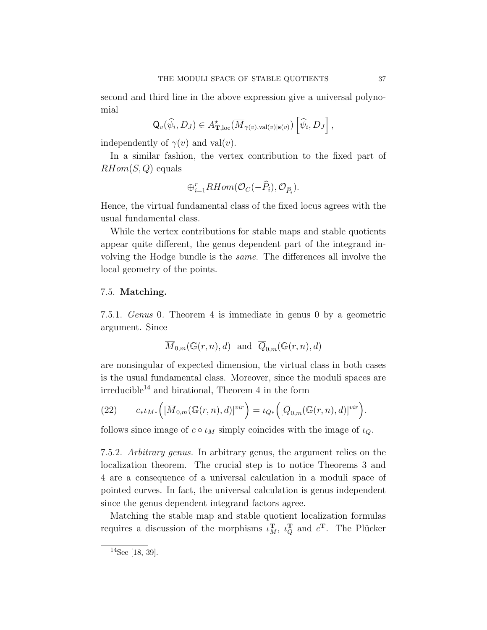second and third line in the above expression give a universal polynomial

$$
\mathsf{Q}_{v}(\widehat{\psi}_{i}, D_{J}) \in A_{\mathbf{T},\mathrm{loc}}^{\star}(\overline{M}_{\gamma(v),\mathrm{val}(v)|\mathbf{s}(v)})\left[\widehat{\psi}_{i}, D_{J}\right],
$$

independently of  $\gamma(v)$  and val $(v)$ .

In a similar fashion, the vertex contribution to the fixed part of  $RHom(S,Q)$  equals

$$
\oplus_{i=1}^r RHom(\mathcal O_C(-\widehat P_i),\mathcal O_{\widehat P_i}).
$$

Hence, the virtual fundamental class of the fixed locus agrees with the usual fundamental class.

While the vertex contributions for stable maps and stable quotients appear quite different, the genus dependent part of the integrand involving the Hodge bundle is the same. The differences all involve the local geometry of the points.

# 7.5. Matching.

7.5.1. Genus 0. Theorem 4 is immediate in genus 0 by a geometric argument. Since

$$
\overline{M}_{0,m}(\mathbb{G}(r,n),d)
$$
 and  $\overline{Q}_{0,m}(\mathbb{G}(r,n),d)$ 

are nonsingular of expected dimension, the virtual class in both cases is the usual fundamental class. Moreover, since the moduli spaces are  $irreducible<sup>14</sup>$  and birational, Theorem 4 in the form

(22) 
$$
c_* \iota_{M*}\Big([\overline{M}_{0,m}(\mathbb{G}(r,n),d)]^{vir}\Big) = \iota_{Q*}\Big([\overline{Q}_{0,m}(\mathbb{G}(r,n),d)]^{vir}\Big).
$$

follows since image of  $c \circ \iota_M$  simply coincides with the image of  $\iota_Q$ .

7.5.2. Arbitrary genus. In arbitrary genus, the argument relies on the localization theorem. The crucial step is to notice Theorems 3 and 4 are a consequence of a universal calculation in a moduli space of pointed curves. In fact, the universal calculation is genus independent since the genus dependent integrand factors agree.

Matching the stable map and stable quotient localization formulas requires a discussion of the morphisms  $\iota_M^{\mathbf{T}}, \iota_Q^{\mathbf{T}}$  and  $c^{\mathbf{T}}$ . The Plücker

 $14$ See [18, 39].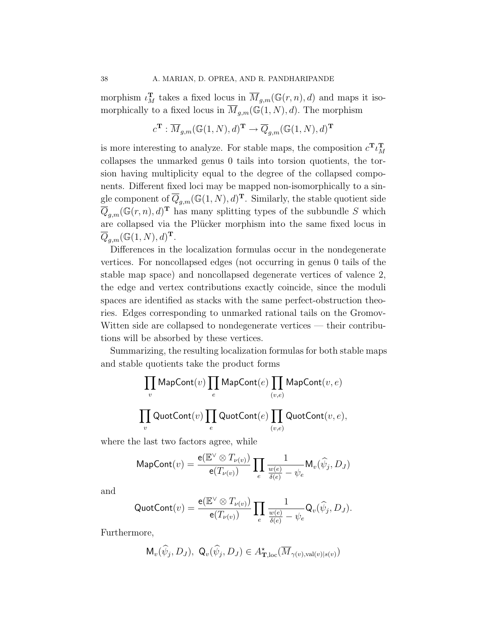morphism  $\iota_M^{\mathbf{T}}$  takes a fixed locus in  $\overline{M}_{g,m}(\mathbb{G}(r,n),d)$  and maps it isomorphically to a fixed locus in  $\overline{M}_{q,m}(\mathbb{G}(1,N),d)$ . The morphism

$$
c^{\mathbf{T}} : \overline{M}_{g,m}(\mathbb{G}(1,N),d)^{\mathbf{T}} \to \overline{Q}_{g,m}(\mathbb{G}(1,N),d)^{\mathbf{T}}
$$

is more interesting to analyze. For stable maps, the composition  $c^{\mathbf{T}}\iota_M^{\mathbf{T}}$ M collapses the unmarked genus 0 tails into torsion quotients, the torsion having multiplicity equal to the degree of the collapsed components. Different fixed loci may be mapped non-isomorphically to a single component of  $\overline{Q}_{g,m}(\mathbb{G}(1,N),d)^{\mathbf{T}}$ . Similarly, the stable quotient side  $\overline{Q}_{g,m}(\mathbb{G}(r,n),d)^{\mathrm{T}}$  has many splitting types of the subbundle S which are collapsed via the Plücker morphism into the same fixed locus in  $\overline{Q}_{g,m}(\mathbb{G}(1,N),d)^{\mathrm{T}}$ .

Differences in the localization formulas occur in the nondegenerate vertices. For noncollapsed edges (not occurring in genus 0 tails of the stable map space) and noncollapsed degenerate vertices of valence 2, the edge and vertex contributions exactly coincide, since the moduli spaces are identified as stacks with the same perfect-obstruction theories. Edges corresponding to unmarked rational tails on the Gromov-Witten side are collapsed to nondegenerate vertices — their contributions will be absorbed by these vertices.

Summarizing, the resulting localization formulas for both stable maps and stable quotients take the product forms

$$
\prod_{v} \mathsf{MapCont}(v) \prod_{e} \mathsf{MapCont}(e) \prod_{(v,e)} \mathsf{MapCont}(v,e)
$$
  

$$
\prod_{v} \mathsf{QuotCont}(v) \prod_{e} \mathsf{QuotCont}(e) \prod_{(v,e)} \mathsf{QuotCont}(v,e),
$$

where the last two factors agree, while

MapCont(v) = 
$$
\frac{e(E^{\vee} \otimes T_{\nu(v)})}{e(T_{\nu(v)})} \prod_{e} \frac{1}{\frac{w(e)}{\delta(e)} - \psi_e} \mathsf{M}_{v}(\widehat{\psi}_j, D_J)
$$

and

$$
\text{QuotCont}(v) = \frac{\mathsf{e}(\mathbb{E}^{\vee} \otimes T_{\nu(v)})}{\mathsf{e}(T_{\nu(v)})} \prod_{e} \frac{1}{\frac{w(e)}{\delta(e)} - \psi_e} \mathsf{Q}_v(\widehat{\psi}_j, D_J).
$$

Furthermore,

$$
\mathsf{M}_{v}(\widehat{\psi}_j, D_J), \ \mathsf{Q}_{v}(\widehat{\psi}_j, D_J) \in A_{\mathbf{T},\mathrm{loc}}^{\star}(\overline{M}_{\gamma(v),\mathrm{val}(v)|s(v)})
$$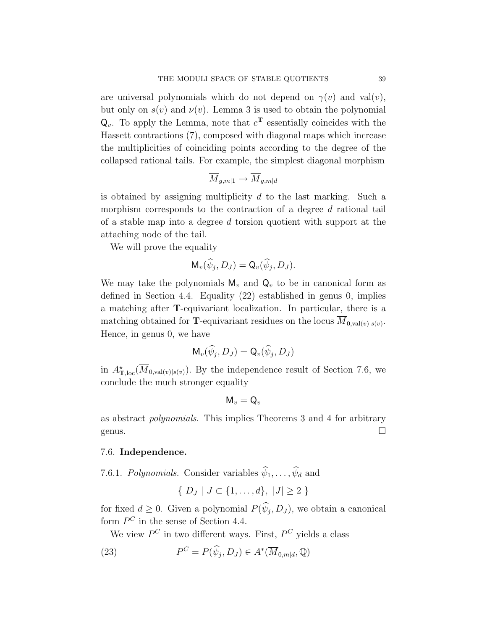are universal polynomials which do not depend on  $\gamma(v)$  and val $(v)$ , but only on  $s(v)$  and  $v(v)$ . Lemma 3 is used to obtain the polynomial  $Q_v$ . To apply the Lemma, note that  $c^T$  essentially coincides with the Hassett contractions (7), composed with diagonal maps which increase the multiplicities of coinciding points according to the degree of the collapsed rational tails. For example, the simplest diagonal morphism

$$
\overline{M}_{g,m|1} \to \overline{M}_{g,m|d}
$$

is obtained by assigning multiplicity  $d$  to the last marking. Such a morphism corresponds to the contraction of a degree  $d$  rational tail of a stable map into a degree d torsion quotient with support at the attaching node of the tail.

We will prove the equality

$$
\mathsf{M}_{v}(\widehat{\psi}_j, D_J) = \mathsf{Q}_{v}(\widehat{\psi}_j, D_J).
$$

We may take the polynomials  $M_v$  and  $Q_v$  to be in canonical form as defined in Section 4.4. Equality (22) established in genus 0, implies a matching after T-equivariant localization. In particular, there is a matching obtained for **T**-equivariant residues on the locus  $M_{0,\text{val}(v)|s(v)}$ . Hence, in genus 0, we have

$$
\mathsf{M}_{v}(\widehat{\psi}_j, D_J) = \mathsf{Q}_{v}(\widehat{\psi}_j, D_J)
$$

in  $A_{\mathbf{T},\text{loc}}^{\star}(\overline{M}_{0,\text{val}(v)|s(v)})$ . By the independence result of Section 7.6, we conclude the much stronger equality

$$
\mathsf{M}_v = \mathsf{Q}_v
$$

as abstract polynomials. This implies Theorems 3 and 4 for arbitrary genus.  $\Box$ 

#### 7.6. Independence.

7.6.1. Polynomials. Consider variables  $\widehat{\psi}_1,\ldots,\widehat{\psi}_d$  and

$$
\{ D_J | J \subset \{1, \ldots, d\}, |J| \ge 2 \}
$$

for fixed  $d \geq 0$ . Given a polynomial  $P(\psi_j, D_J)$ , we obtain a canonical form  $P^C$  in the sense of Section 4.4.

We view  $P^C$  in two different ways. First,  $P^C$  yields a class

(23) 
$$
P^C = P(\widehat{\psi}_j, D_J) \in A^*(\overline{M}_{0,m|d}, \mathbb{Q})
$$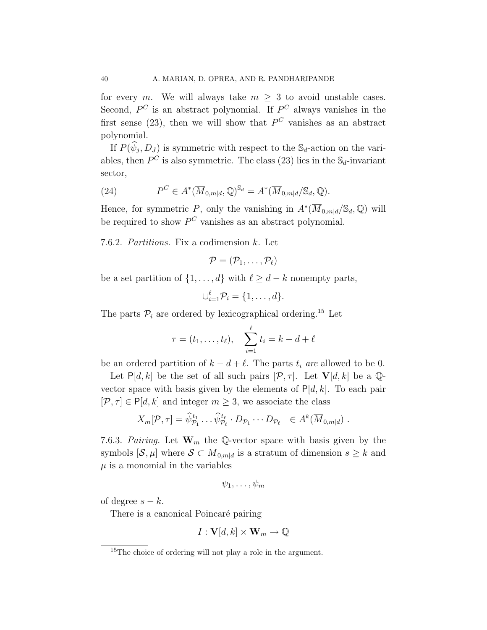for every m. We will always take  $m \geq 3$  to avoid unstable cases. Second,  $P^C$  is an abstract polynomial. If  $P^C$  always vanishes in the first sense (23), then we will show that  $P^C$  vanishes as an abstract polynomial.

If  $P(\psi_j, D_j)$  is symmetric with respect to the  $\mathbb{S}_d$ -action on the variables, then  $P^C$  is also symmetric. The class (23) lies in the  $\mathbb{S}_d$ -invariant sector,

(24) 
$$
P^C \in A^*(\overline{M}_{0,m|d}, \mathbb{Q})^{\mathbb{S}_d} = A^*(\overline{M}_{0,m|d}/\mathbb{S}_d, \mathbb{Q}).
$$

Hence, for symmetric P, only the vanishing in  $A^*(\overline{M}_{0,m|d}/\mathbb{S}_d,\mathbb{Q})$  will be required to show  $P^C$  vanishes as an abstract polynomial.

7.6.2. Partitions. Fix a codimension k. Let

$$
\mathcal{P}=(\mathcal{P}_1,\ldots,\mathcal{P}_\ell)
$$

be a set partition of  $\{1,\ldots,d\}$  with  $\ell \geq d-k$  nonempty parts,

 $\bigcup_{i=1}^{\ell} \mathcal{P}_i = \{1,\ldots,d\}.$ 

The parts  $P_i$  are ordered by lexicographical ordering.<sup>15</sup> Let

$$
\tau = (t_1, \ldots, t_\ell), \quad \sum_{i=1}^\ell t_i = k - d + \ell
$$

be an ordered partition of  $k - d + \ell$ . The parts  $t_i$  are allowed to be 0.

Let  $P[d, k]$  be the set of all such pairs  $[\mathcal{P}, \tau]$ . Let  $V[d, k]$  be a Qvector space with basis given by the elements of  $P[d, k]$ . To each pair  $[\mathcal{P}, \tau] \in P[d, k]$  and integer  $m \geq 3$ , we associate the class

$$
X_m[\mathcal{P}, \tau] = \widehat{\psi}_{\mathcal{P}_1}^{t_1} \dots \widehat{\psi}_{\mathcal{P}_\ell}^{t_\ell} \cdot D_{\mathcal{P}_1} \dots D_{\mathcal{P}_\ell} \in A^k(\overline{M}_{0,m|d}) \ .
$$

7.6.3. Pairing. Let  $\mathbf{W}_m$  the Q-vector space with basis given by the symbols  $[\mathcal{S}, \mu]$  where  $\mathcal{S} \subset \overline{M}_{0,m|d}$  is a stratum of dimension  $s \geq k$  and  $\mu$  is a monomial in the variables

$$
\psi_1,\ldots,\psi_m
$$

of degree  $s - k$ .

There is a canonical Poincaré pairing

$$
I: \mathbf{V}[d,k] \times \mathbf{W}_m \to \mathbb{Q}
$$

<sup>&</sup>lt;sup>15</sup>The choice of ordering will not play a role in the argument.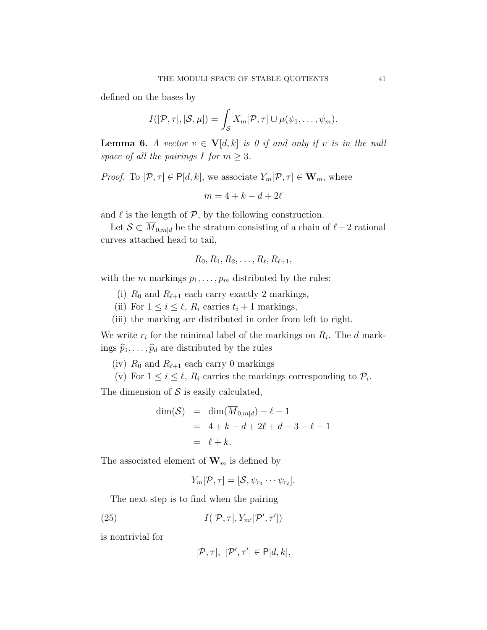defined on the bases by

$$
I([\mathcal{P},\tau],[\mathcal{S},\mu])=\int_{\mathcal{S}}X_m[\mathcal{P},\tau]\cup\mu(\psi_1,\ldots,\psi_m).
$$

**Lemma 6.** A vector  $v \in V[d, k]$  is 0 if and only if v is in the null space of all the pairings I for  $m \geq 3$ .

*Proof.* To  $[\mathcal{P}, \tau] \in \mathsf{P}[d, k]$ , we associate  $Y_m[\mathcal{P}, \tau] \in \mathbf{W}_m$ , where

$$
m=4+k-d+2\ell
$$

and  $\ell$  is the length of  $\mathcal{P}$ , by the following construction.

Let  $\mathcal{S} \subset \overline{M}_{0,m|d}$  be the stratum consisting of a chain of  $\ell+2$  rational curves attached head to tail,

$$
R_0, R_1, R_2, \ldots, R_\ell, R_{\ell+1},
$$

with the m markings  $p_1, \ldots, p_m$  distributed by the rules:

- (i)  $R_0$  and  $R_{\ell+1}$  each carry exactly 2 markings,
- (ii) For  $1 \leq i \leq \ell$ ,  $R_i$  carries  $t_i + 1$  markings,
- (iii) the marking are distributed in order from left to right.

We write  $r_i$  for the minimal label of the markings on  $R_i$ . The d markings  $\widehat{p}_1,\ldots,\widehat{p}_d$  are distributed by the rules

(iv)  $R_0$  and  $R_{\ell+1}$  each carry 0 markings

(v) For  $1 \leq i \leq \ell$ ,  $R_i$  carries the markings corresponding to  $\mathcal{P}_i$ .

The dimension of  $S$  is easily calculated,

$$
\dim(\mathcal{S}) = \dim(\overline{M}_{0,m|d}) - \ell - 1
$$
  
= 4 + k - d + 2\ell + d - 3 - \ell - 1  
= \ell + k.

The associated element of  $\mathbf{W}_m$  is defined by

$$
Y_m[\mathcal{P}, \tau] = [\mathcal{S}, \psi_{r_1} \cdots \psi_{r_\ell}].
$$

The next step is to find when the pairing

(25) 
$$
I([\mathcal{P}, \tau], Y_{m'}[\mathcal{P}', \tau'])
$$

is nontrivial for

$$
[\mathcal{P},\tau], [\mathcal{P}',\tau'] \in \mathsf{P}[d,k],
$$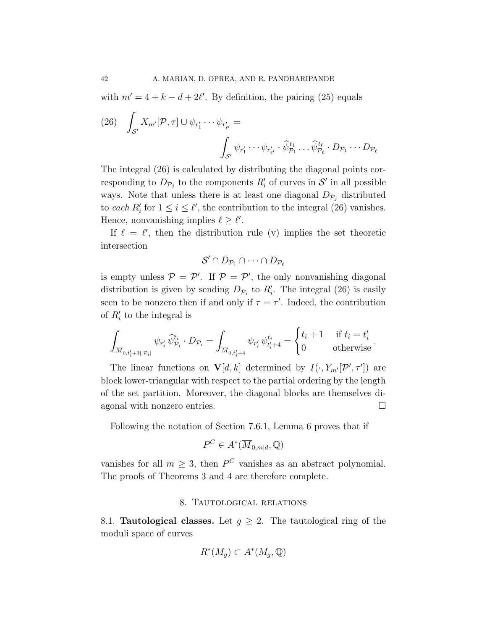with  $m' = 4 + k - d + 2\ell'$ . By definition, the pairing (25) equals

(26) 
$$
\int_{\mathcal{S}'} X_{m'}[\mathcal{P}, \tau] \cup \psi_{r'_1} \cdots \psi_{r'_{\ell'}} = \int_{\mathcal{S}'} \psi_{r'_1} \cdots \psi_{r'_{\ell'}} \cdot \widehat{\psi}_{\mathcal{P}_1}^{t_1} \cdots \widehat{\psi}_{\mathcal{P}_{\ell}}^{t_{\ell}} \cdot D_{\mathcal{P}_1} \cdots D_{\mathcal{P}_{\ell}}
$$

The integral (26) is calculated by distributing the diagonal points corresponding to  $D_{\mathcal{P}_j}$  to the components  $R'_i$  of curves in  $\mathcal{S}'$  in all possible ways. Note that unless there is at least one diagonal  $D_{\mathcal{P}_i}$  distributed to each  $R'_i$  for  $1 \leq i \leq \ell'$ , the contribution to the integral (26) vanishes. Hence, nonvanishing implies  $\ell \geq \ell'$ .

If  $\ell = \ell'$ , then the distribution rule (v) implies the set theoretic intersection

$$
\mathcal{S}' \cap D_{\mathcal{P}_1} \cap \cdots \cap D_{\mathcal{P}_\ell}
$$

is empty unless  $P = P'$ . If  $P = P'$ , the only nonvanishing diagonal distribution is given by sending  $D_{\mathcal{P}_i}$  to  $R'_i$ . The integral (26) is easily seen to be nonzero then if and only if  $\tau = \tau'$ . Indeed, the contribution of  $R'_i$  to the integral is

$$
\int_{\overline{M}_{0,t'_i+3||\mathcal{P}_i|}} \psi_{r'_i} \,\widehat{\psi}_{\mathcal{P}_i}^{t_i} \cdot D_{\mathcal{P}_i} = \int_{\overline{M}_{0,t'_i+4}} \psi_{r'_i} \,\psi_{t'_i+4}^{t_i} = \begin{cases} t_i+1 & \text{if } t_i = t'_i \\ 0 & \text{otherwise} \end{cases}.
$$

The linear functions on  $\mathbf{V}[d, k]$  determined by  $I(\cdot, Y_{m'}[\mathcal{P}', \tau'])$  are block lower-triangular with respect to the partial ordering by the length of the set partition. Moreover, the diagonal blocks are themselves diagonal with nonzero entries.

Following the notation of Section 7.6.1, Lemma 6 proves that if

$$
P^C \in A^*(\overline{M}_{0,m|d}, \mathbb{Q})
$$

vanishes for all  $m \geq 3$ , then  $P^C$  vanishes as an abstract polynomial. The proofs of Theorems 3 and 4 are therefore complete.

# 8. Tautological relations

8.1. **Tautological classes.** Let  $g \geq 2$ . The tautological ring of the moduli space of curves

$$
R^*(M_g) \subset A^*(M_g, \mathbb{Q})
$$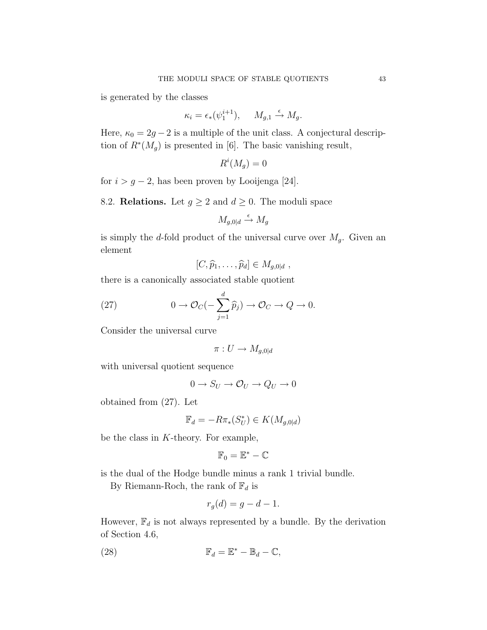is generated by the classes

$$
\kappa_i = \epsilon_*(\psi_1^{i+1}), \quad M_{g,1} \stackrel{\epsilon}{\to} M_g.
$$

Here,  $\kappa_0 = 2g - 2$  is a multiple of the unit class. A conjectural description of  $R^*(M_g)$  is presented in [6]. The basic vanishing result,

$$
R^i(M_g) = 0
$$

for  $i > g - 2$ , has been proven by Looijenga [24].

8.2. **Relations.** Let  $g \ge 2$  and  $d \ge 0$ . The moduli space

$$
M_{g,0|d} \xrightarrow{\epsilon} M_g
$$

is simply the d-fold product of the universal curve over  $M_g$ . Given an element

$$
[C,\widehat{p}_1,\ldots,\widehat{p}_d]\in M_{g,0|d},
$$

there is a canonically associated stable quotient

(27) 
$$
0 \to \mathcal{O}_C(-\sum_{j=1}^d \widehat{p}_j) \to \mathcal{O}_C \to Q \to 0.
$$

Consider the universal curve

$$
\pi: U \to M_{g,0|d}
$$

with universal quotient sequence

$$
0 \to S_U \to \mathcal{O}_U \to Q_U \to 0
$$

obtained from (27). Let

$$
\mathbb{F}_d = -R\pi_*(S^*_U) \in K(M_{g,0|d})
$$

be the class in K-theory. For example,

$$
\mathbb{F}_0=\mathbb{E}^*-\mathbb{C}
$$

is the dual of the Hodge bundle minus a rank 1 trivial bundle.

By Riemann-Roch, the rank of  $\mathbb{F}_d$  is

$$
r_g(d) = g - d - 1.
$$

However,  $\mathbb{F}_d$  is not always represented by a bundle. By the derivation of Section 4.6,

(28) 
$$
\mathbb{F}_d = \mathbb{E}^* - \mathbb{B}_d - \mathbb{C},
$$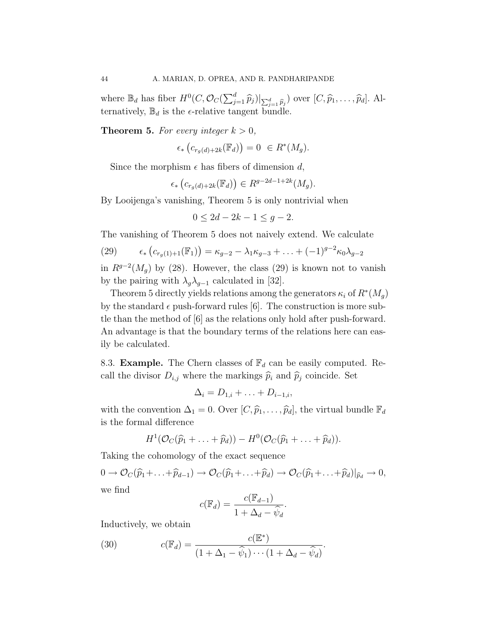where  $\mathbb{B}_d$  has fiber  $H^0(C, \mathcal{O}_C(\sum_{j=1}^d \widehat{p}_j)|_{\sum_{j=1}^d \widehat{p}_j})$  over  $[C, \widehat{p}_1, \ldots, \widehat{p}_d]$ . Alternatively,  $\mathbb{B}_d$  is the  $\epsilon$ -relative tangent bundle.

**Theorem 5.** For every integer  $k > 0$ ,

$$
\epsilon_* \left( c_{r_g(d) + 2k}(\mathbb{F}_d) \right) = 0 \ \in R^*(M_g).
$$

Since the morphism  $\epsilon$  has fibers of dimension d,

$$
\epsilon_*\left(c_{r_g(d)+2k}(\mathbb{F}_d)\right) \in R^{g-2d-1+2k}(M_g).
$$

By Looijenga's vanishing, Theorem 5 is only nontrivial when

$$
0 \le 2d - 2k - 1 \le g - 2.
$$

The vanishing of Theorem 5 does not naively extend. We calculate

(29) 
$$
\epsilon_* (c_{r_g(1)+1}(\mathbb{F}_1)) = \kappa_{g-2} - \lambda_1 \kappa_{g-3} + \ldots + (-1)^{g-2} \kappa_0 \lambda_{g-2}
$$

in  $R^{g-2}(M_g)$  by (28). However, the class (29) is known not to vanish by the pairing with  $\lambda_g \lambda_{g-1}$  calculated in [32].

Theorem 5 directly yields relations among the generators  $\kappa_i$  of  $R^*(M_g)$ by the standard  $\epsilon$  push-forward rules [6]. The construction is more subtle than the method of [6] as the relations only hold after push-forward. An advantage is that the boundary terms of the relations here can easily be calculated.

8.3. **Example.** The Chern classes of  $\mathbb{F}_d$  can be easily computed. Recall the divisor  $D_{i,j}$  where the markings  $\widehat{p}_i$  and  $\widehat{p}_j$  coincide. Set

$$
\Delta_i = D_{1,i} + \ldots + D_{i-1,i},
$$

with the convention  $\Delta_1 = 0$ . Over  $[C, \hat{p}_1, \ldots, \hat{p}_d]$ , the virtual bundle  $\mathbb{F}_d$ is the formal difference

$$
H^1(\mathcal{O}_C(\widehat{p}_1+\ldots+\widehat{p}_d))-H^0(\mathcal{O}_C(\widehat{p}_1+\ldots+\widehat{p}_d)).
$$

Taking the cohomology of the exact sequence

 $0 \to \mathcal{O}_C(\widehat{p}_1 + \ldots + \widehat{p}_{d-1}) \to \mathcal{O}_C(\widehat{p}_1 + \ldots + \widehat{p}_d) \to \mathcal{O}_C(\widehat{p}_1 + \ldots + \widehat{p}_d)|_{\widehat{p}_d} \to 0,$ 

we find

$$
c(\mathbb{F}_d) = \frac{c(\mathbb{F}_{d-1})}{1 + \Delta_d - \hat{\psi}_d}.
$$

Inductively, we obtain

(30) 
$$
c(\mathbb{F}_d) = \frac{c(\mathbb{E}^*)}{(1 + \Delta_1 - \widehat{\psi}_1) \cdots (1 + \Delta_d - \widehat{\psi}_d)}.
$$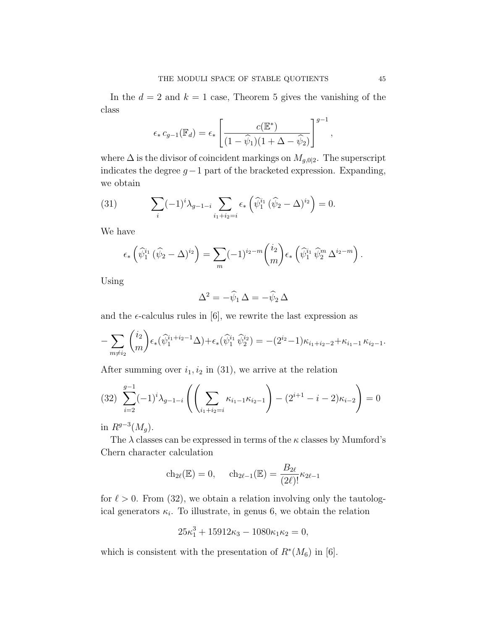In the  $d = 2$  and  $k = 1$  case, Theorem 5 gives the vanishing of the class

$$
\epsilon_* c_{g-1}(\mathbb{F}_d) = \epsilon_* \left[ \frac{c(\mathbb{E}^*)}{(1 - \widehat{\psi}_1)(1 + \Delta - \widehat{\psi}_2)} \right]^{g-1},
$$

where  $\Delta$  is the divisor of coincident markings on  $M_{g,0|2}$ . The superscript indicates the degree  $g-1$  part of the bracketed expression. Expanding, we obtain

(31) 
$$
\sum_{i} (-1)^{i} \lambda_{g-1-i} \sum_{i_1+i_2=i} \epsilon_* \left( \widehat{\psi}_1^{i_1} \left( \widehat{\psi}_2 - \Delta \right)^{i_2} \right) = 0.
$$

We have

$$
\epsilon_* \left( \widehat{\psi}^{i_1}_1 \left( \widehat{\psi}_2 - \Delta \right)^{i_2} \right) = \sum_m (-1)^{i_2 - m} {i_2 \choose m} \epsilon_* \left( \widehat{\psi}^{i_1}_1 \widehat{\psi}^m_2 \Delta^{i_2 - m} \right).
$$

Using

$$
\Delta^2 = -\widehat{\psi}_1 \, \Delta = -\widehat{\psi}_2 \, \Delta
$$

and the  $\epsilon$ -calculus rules in [6], we rewrite the last expression as

$$
-\sum_{m\neq i_2} {i_2 \choose m} \epsilon_*(\widehat{\psi}_1^{i_1+i_2-1}\Delta)+\epsilon_*(\widehat{\psi}_1^{i_1}\widehat{\psi}_2^{i_2})=-(2^{i_2}-1)\kappa_{i_1+i_2-2}+\kappa_{i_1-1}\kappa_{i_2-1}.
$$

After summing over  $i_1, i_2$  in (31), we arrive at the relation

$$
(32) \sum_{i=2}^{g-1} (-1)^i \lambda_{g-1-i} \left( \left( \sum_{i_1+i_2=i} \kappa_{i_1-1} \kappa_{i_2-1} \right) - (2^{i+1} - i - 2) \kappa_{i-2} \right) = 0
$$

in  $R^{g-3}(M_g)$ .

The  $\lambda$  classes can be expressed in terms of the  $\kappa$  classes by Mumford's Chern character calculation

$$
\mathrm{ch}_{2\ell}(\mathbb{E}) = 0, \quad \mathrm{ch}_{2\ell-1}(\mathbb{E}) = \frac{B_{2\ell}}{(2\ell)!} \kappa_{2\ell-1}
$$

for  $\ell > 0$ . From (32), we obtain a relation involving only the tautological generators  $\kappa_i$ . To illustrate, in genus 6, we obtain the relation

$$
25\kappa_1^3 + 15912\kappa_3 - 1080\kappa_1\kappa_2 = 0,
$$

which is consistent with the presentation of  $R^*(M_6)$  in [6].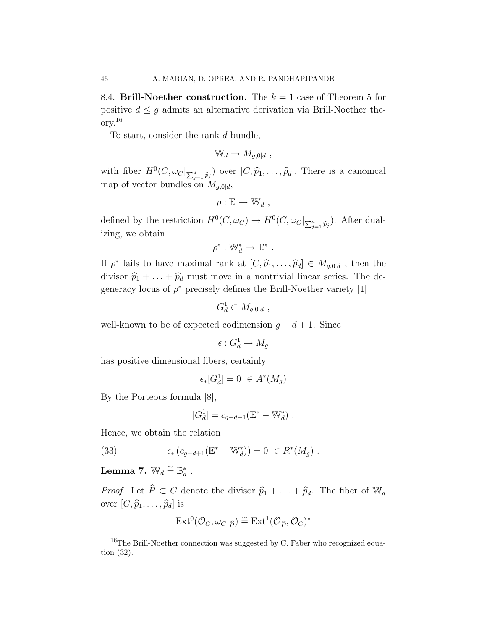8.4. Brill-Noether construction. The  $k = 1$  case of Theorem 5 for positive  $d \leq g$  admits an alternative derivation via Brill-Noether theory.<sup>16</sup>

To start, consider the rank d bundle,

$$
\mathbb{W}_d \to M_{g,0|d} ,
$$

with fiber  $H^0(C, \omega_C |_{\sum_{j=1}^d \widehat{p}_j})$  over  $[C, \widehat{p}_1, \ldots, \widehat{p}_d]$ . There is a canonical map of vector bundles on  $M_{g,0|d}$ ,

$$
\rho:\mathbb{E}\to \mathbb{W}_d,
$$

defined by the restriction  $H^0(C, \omega_C) \to H^0(C, \omega_C |_{\sum_{j=1}^d \widehat{p}_j})$ . After dualizing, we obtain

$$
\rho^*: \mathbb{W}_d^* \to \mathbb{E}^* .
$$

If  $\rho^*$  fails to have maximal rank at  $[C, \widehat{p}_1, \ldots, \widehat{p}_d] \in M_{g,0|d}$ , then the divisor  $\hat{p}_1 + \ldots + \hat{p}_d$  must move in a nontrivial linear series. The degeneracy locus of  $\rho^*$  precisely defines the Brill-Noether variety [1]

$$
G_d^1 \subset M_{g,0|d} ,
$$

well-known to be of expected codimension  $q - d + 1$ . Since

$$
\epsilon: G^1_d \to M_g
$$

has positive dimensional fibers, certainly

$$
\epsilon_*[G_d^1] = 0 \ \in A^*(M_g)
$$

By the Porteous formula [8],

$$
[G_d^1] = c_{g-d+1}(\mathbb{E}^* - \mathbb{W}_d^*) .
$$

Hence, we obtain the relation

(33) 
$$
\epsilon_* (c_{g-d+1}(\mathbb{E}^* - \mathbb{W}_d^*)) = 0 \in R^*(M_g) .
$$

Lemma 7.  $\mathbb{W}_d \stackrel{\sim}{=} \mathbb{B}_d^*$  .

*Proof.* Let  $\widehat{P} \subset C$  denote the divisor  $\widehat{p}_1 + \ldots + \widehat{p}_d$ . The fiber of  $\mathbb{W}_d$ over  $[C, \hat{p}_1, \ldots, \hat{p}_d]$  is

$$
\mathrm{Ext}^0(\mathcal{O}_C,\omega_C|_{\widehat{P}})\stackrel{\sim}{=}\mathrm{Ext}^1(\mathcal{O}_{\widehat{P}},\mathcal{O}_C)^*
$$

<sup>&</sup>lt;sup>16</sup>The Brill-Noether connection was suggested by C. Faber who recognized equation (32).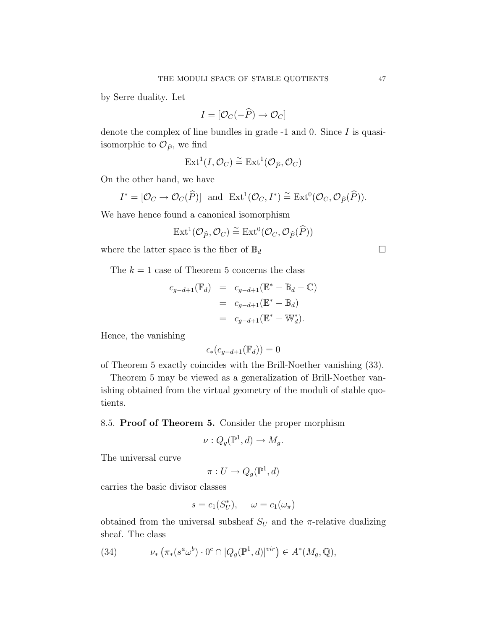by Serre duality. Let

$$
I = [\mathcal{O}_C(-\widehat{P}) \to \mathcal{O}_C]
$$

denote the complex of line bundles in grade -1 and 0. Since I is quasiisomorphic to  $\mathcal{O}_{\hat{P}}$ , we find

$$
\operatorname{Ext}^1(I,\mathcal{O}_C)\stackrel{\sim}{=}\operatorname{Ext}^1(\mathcal{O}_{\widehat{P}},\mathcal{O}_C)
$$

On the other hand, we have

$$
I^* = [\mathcal{O}_C \to \mathcal{O}_C(\widehat{P})]
$$
 and  $\text{Ext}^1(\mathcal{O}_C, I^*) \cong \text{Ext}^0(\mathcal{O}_C, \mathcal{O}_{\widehat{P}}(\widehat{P})).$ 

We have hence found a canonical isomorphism

$$
\mathrm{Ext}^1(\mathcal{O}_{\widehat{P}}, \mathcal{O}_C) \stackrel{\sim}{=} \mathrm{Ext}^0(\mathcal{O}_C, \mathcal{O}_{\widehat{P}}(\widehat{P}))
$$

where the latter space is the fiber of  $\mathbb{B}_d$ 

The  $k = 1$  case of Theorem 5 concerns the class

$$
c_{g-d+1}(\mathbb{F}_d) = c_{g-d+1}(\mathbb{E}^* - \mathbb{B}_d - \mathbb{C})
$$
  
=  $c_{g-d+1}(\mathbb{E}^* - \mathbb{B}_d)$   
=  $c_{g-d+1}(\mathbb{E}^* - \mathbb{W}_d^*).$ 

Hence, the vanishing

$$
\epsilon_*(c_{g-d+1}(\mathbb{F}_d)) = 0
$$

of Theorem 5 exactly coincides with the Brill-Noether vanishing (33).

Theorem 5 may be viewed as a generalization of Brill-Noether vanishing obtained from the virtual geometry of the moduli of stable quotients.

8.5. Proof of Theorem 5. Consider the proper morphism

$$
\nu: Q_g(\mathbb{P}^1, d) \to M_g.
$$

The universal curve

$$
\pi: U \to Q_g(\mathbb{P}^1, d)
$$

carries the basic divisor classes

$$
s = c_1(S_U^*), \quad \omega = c_1(\omega_\pi)
$$

obtained from the universal subsheaf  $S_U$  and the  $\pi$ -relative dualizing sheaf. The class

(34) 
$$
\nu_* \left( \pi_* (s^a \omega^b) \cdot 0^c \cap [Q_g(\mathbb{P}^1, d)]^{vir} \right) \in A^*(M_g, \mathbb{Q}),
$$

$$
\qquad \qquad \Box
$$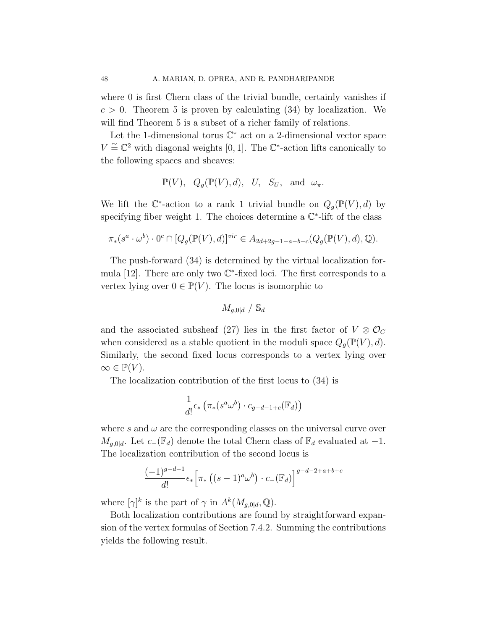where 0 is first Chern class of the trivial bundle, certainly vanishes if  $c > 0$ . Theorem 5 is proven by calculating (34) by localization. We will find Theorem 5 is a subset of a richer family of relations.

Let the 1-dimensional torus  $\mathbb{C}^*$  act on a 2-dimensional vector space  $V \cong \mathbb{C}^2$  with diagonal weights [0, 1]. The  $\mathbb{C}^*$ -action lifts canonically to the following spaces and sheaves:

$$
\mathbb{P}(V)
$$
,  $Q_g(\mathbb{P}(V), d)$ , U,  $S_U$ , and  $\omega_{\pi}$ .

We lift the  $\mathbb{C}^*$ -action to a rank 1 trivial bundle on  $Q_g(\mathbb{P}(V), d)$  by specifying fiber weight 1. The choices determine a  $\mathbb{C}^*$ -lift of the class

$$
\pi_*(s^a \cdot \omega^b) \cdot 0^c \cap [Q_g(\mathbb{P}(V), d)]^{vir} \in A_{2d+2g-1-a-b-c}(Q_g(\mathbb{P}(V), d), \mathbb{Q}).
$$

The push-forward (34) is determined by the virtual localization formula  $[12]$ . There are only two  $\mathbb{C}^*$ -fixed loci. The first corresponds to a vertex lying over  $0 \in \mathbb{P}(V)$ . The locus is isomorphic to

$$
M_{g,0|d} \;/ \; \mathbb{S}_d
$$

and the associated subsheaf (27) lies in the first factor of  $V \otimes \mathcal{O}_C$ when considered as a stable quotient in the moduli space  $Q_q(\mathbb{P}(V), d)$ . Similarly, the second fixed locus corresponds to a vertex lying over  $\infty \in \mathbb{P}(V)$ .

The localization contribution of the first locus to (34) is

$$
\frac{1}{d!} \epsilon_* \left( \pi_* (s^a \omega^b) \cdot c_{g-d-1+c}(\mathbb{F}_d) \right)
$$

where s and  $\omega$  are the corresponding classes on the universal curve over  $M_{q,0|d}$ . Let  $c_-(\mathbb{F}_d)$  denote the total Chern class of  $\mathbb{F}_d$  evaluated at  $-1$ . The localization contribution of the second locus is

$$
\frac{(-1)^{g-d-1}}{d!} \epsilon_* \left[ \pi_* \left( (s-1)^a \omega^b \right) \cdot c_- (\mathbb{F}_d) \right]^{g-d-2+a+b+c}
$$

where  $[\gamma]^k$  is the part of  $\gamma$  in  $A^k(M_{g,0|d}, \mathbb{Q})$ .

Both localization contributions are found by straightforward expansion of the vertex formulas of Section 7.4.2. Summing the contributions yields the following result.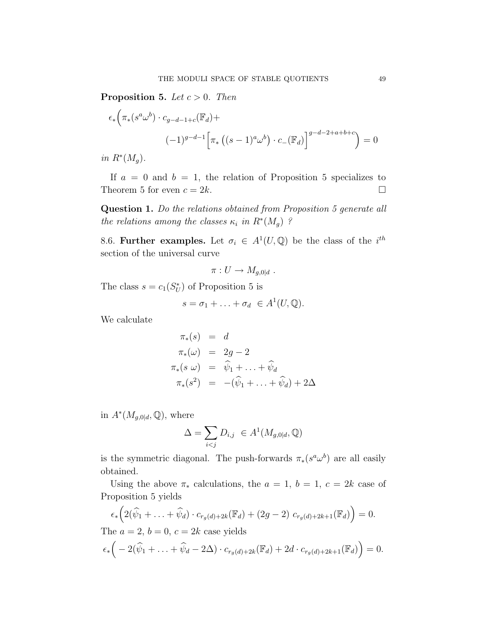**Proposition 5.** Let  $c > 0$ . Then

$$
\epsilon_* \Big( \pi_* \big( s^a \omega^b \big) \cdot c_{g-d-1+c}(\mathbb{F}_d) +
$$
  

$$
(-1)^{g-d-1} \Big[ \pi_* \left( (s-1)^a \omega^b \right) \cdot c_- (\mathbb{F}_d) \Big]^{g-d-2+a+b+c} \Big) = 0
$$

in  $R^*(M_g)$ .

If  $a = 0$  and  $b = 1$ , the relation of Proposition 5 specializes to Theorem 5 for even  $c = 2k$ .

Question 1. Do the relations obtained from Proposition 5 generate all the relations among the classes  $\kappa_i$  in  $R^*(M_g)$ ?

8.6. Further examples. Let  $\sigma_i \in A^1(U, \mathbb{Q})$  be the class of the i<sup>th</sup> section of the universal curve

$$
\pi: U \to M_{g,0|d} .
$$

The class  $s = c_1(S_U^*)$  of Proposition 5 is

$$
s = \sigma_1 + \ldots + \sigma_d \ \in A^1(U, \mathbb{Q}).
$$

We calculate

$$
\pi_*(s) = d
$$
  
\n
$$
\pi_*(\omega) = 2g - 2
$$
  
\n
$$
\pi_*(s \omega) = \hat{\psi}_1 + \dots + \hat{\psi}_d
$$
  
\n
$$
\pi_*(s^2) = -(\hat{\psi}_1 + \dots + \hat{\psi}_d) + 2\Delta
$$

in  $A^*(M_{g,0|d}, \mathbb{Q})$ , where

$$
\Delta = \sum_{i < j} D_{i,j} \in A^1(M_{g,0|d}, \mathbb{Q})
$$

is the symmetric diagonal. The push-forwards  $\pi_*(s^a \omega^b)$  are all easily obtained.

Using the above  $\pi_*$  calculations, the  $a = 1, b = 1, c = 2k$  case of Proposition 5 yields

$$
\epsilon_* \Big( 2(\widehat{\psi}_1 + \ldots + \widehat{\psi}_d) \cdot c_{r_g(d)+2k}(\mathbb{F}_d) + (2g-2) c_{r_g(d)+2k+1}(\mathbb{F}_d) \Big) = 0.
$$
  
The  $a = 2$ ,  $b = 0$ ,  $c = 2k$  case yields

$$
\epsilon_*\Big(-2(\widehat{\psi}_1+\ldots+\widehat{\psi}_d-2\Delta)\cdot c_{r_g(d)+2k}(\mathbb{F}_d)+2d\cdot c_{r_g(d)+2k+1}(\mathbb{F}_d)\Big)=0.
$$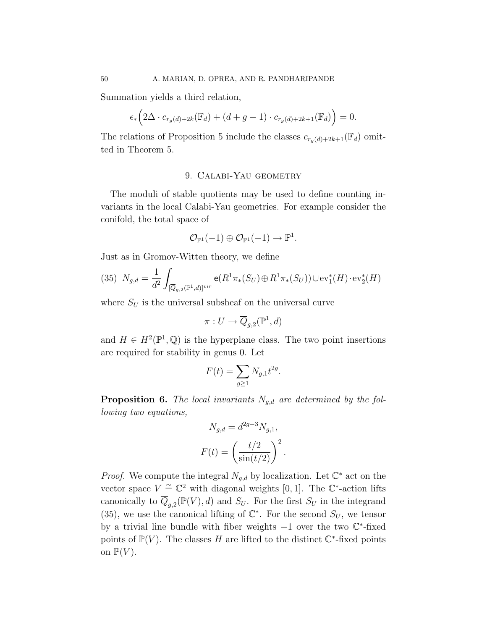Summation yields a third relation,

$$
\epsilon_*\Big(2\Delta \cdot c_{r_g(d)+2k}(\mathbb{F}_d)+(d+g-1)\cdot c_{r_g(d)+2k+1}(\mathbb{F}_d)\Big)=0.
$$

The relations of Proposition 5 include the classes  $c_{r_q(d)+2k+1}(\mathbb{F}_d)$  omitted in Theorem 5.

# 9. Calabi-Yau geometry

The moduli of stable quotients may be used to define counting invariants in the local Calabi-Yau geometries. For example consider the conifold, the total space of

$$
\mathcal{O}_{\mathbb{P}^1}(-1) \oplus \mathcal{O}_{\mathbb{P}^1}(-1) \to \mathbb{P}^1.
$$

Just as in Gromov-Witten theory, we define

(35) 
$$
N_{g,d} = \frac{1}{d^2} \int_{[\overline{Q}_{g,2}(\mathbb{P}^1,d)]^{vir}} e(R^1 \pi_*(S_U) \oplus R^1 \pi_*(S_U)) \cup \text{ev}_1^*(H) \cdot \text{ev}_2^*(H)
$$

where  $S_U$  is the universal subsheaf on the universal curve

$$
\pi: U \to \overline{Q}_{g,2}(\mathbb{P}^1, d)
$$

and  $H \in H^2(\mathbb{P}^1, \mathbb{Q})$  is the hyperplane class. The two point insertions are required for stability in genus 0. Let

$$
F(t) = \sum_{g \ge 1} N_{g,1} t^{2g}.
$$

**Proposition 6.** The local invariants  $N_{g,d}$  are determined by the following two equations,

$$
N_{g,d} = d^{2g-3} N_{g,1},
$$
  

$$
F(t) = \left(\frac{t/2}{\sin(t/2)}\right)^2.
$$

*Proof.* We compute the integral  $N_{g,d}$  by localization. Let  $\mathbb{C}^*$  act on the vector space  $V \cong \mathbb{C}^2$  with diagonal weights [0, 1]. The  $\mathbb{C}^*$ -action lifts canonically to  $\overline{Q}_{g,2}(\mathbb{P}(V),d)$  and  $S_U$ . For the first  $S_U$  in the integrand (35), we use the canonical lifting of  $\mathbb{C}^*$ . For the second  $S_U$ , we tensor by a trivial line bundle with fiber weights -1 over the two  $\mathbb{C}^*$ -fixed points of  $\mathbb{P}(V)$ . The classes H are lifted to the distinct  $\mathbb{C}^*$ -fixed points on  $\mathbb{P}(V)$ .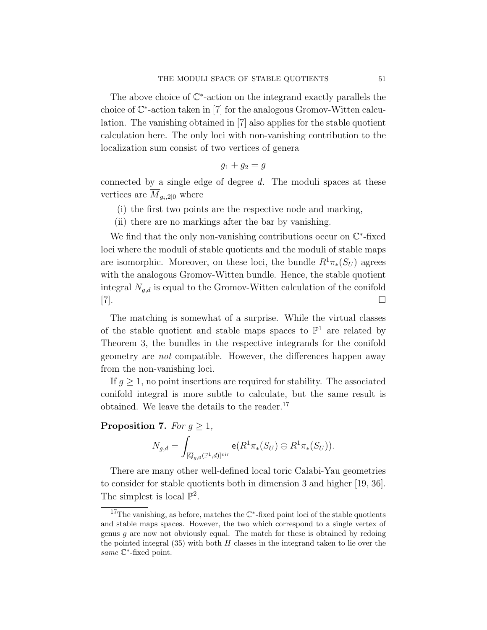The above choice of  $\mathbb{C}^*$ -action on the integrand exactly parallels the choice of C ∗ -action taken in [7] for the analogous Gromov-Witten calculation. The vanishing obtained in [7] also applies for the stable quotient calculation here. The only loci with non-vanishing contribution to the localization sum consist of two vertices of genera

$$
g_1 + g_2 = g
$$

connected by a single edge of degree  $d$ . The moduli spaces at these vertices are  $\overline{M}_{q_i,2|0}$  where

- (i) the first two points are the respective node and marking,
- (ii) there are no markings after the bar by vanishing.

We find that the only non-vanishing contributions occur on  $\mathbb{C}^*$ -fixed loci where the moduli of stable quotients and the moduli of stable maps are isomorphic. Moreover, on these loci, the bundle  $R^1\pi_*(S_U)$  agrees with the analogous Gromov-Witten bundle. Hence, the stable quotient integral  $N_{g,d}$  is equal to the Gromov-Witten calculation of the conifold  $[7].$ 

The matching is somewhat of a surprise. While the virtual classes of the stable quotient and stable maps spaces to  $\mathbb{P}^1$  are related by Theorem 3, the bundles in the respective integrands for the conifold geometry are not compatible. However, the differences happen away from the non-vanishing loci.

If  $q \geq 1$ , no point insertions are required for stability. The associated conifold integral is more subtle to calculate, but the same result is obtained. We leave the details to the reader.<sup>17</sup>

### Proposition 7. For  $q > 1$ ,

$$
N_{g,d}=\int_{[\overline{Q}_{g,0}(\mathbb{P}^1,d)]^{vir}} \mathsf{e}(R^1\pi_*(S_U)\oplus R^1\pi_*(S_U)).
$$

There are many other well-defined local toric Calabi-Yau geometries to consider for stable quotients both in dimension 3 and higher [19, 36]. The simplest is local  $\mathbb{P}^2$ .

<sup>&</sup>lt;sup>17</sup>The vanishing, as before, matches the  $\mathbb{C}^*$ -fixed point loci of the stable quotients and stable maps spaces. However, the two which correspond to a single vertex of genus  $g$  are now not obviously equal. The match for these is obtained by redoing the pointed integral  $(35)$  with both H classes in the integrand taken to lie over the same *€*<sup>\*</sup>-fixed point.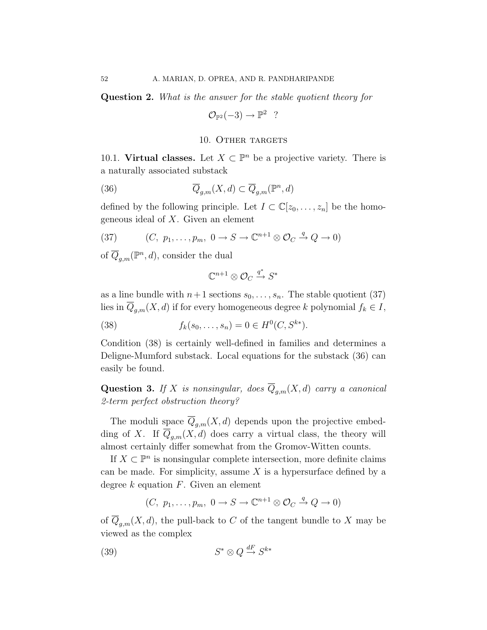Question 2. What is the answer for the stable quotient theory for

 $\mathcal{O}_{\mathbb{P}^2}(-3) \to \mathbb{P}^2$  ?

### 10. OTHER TARGETS

10.1. Virtual classes. Let  $X \subset \mathbb{P}^n$  be a projective variety. There is a naturally associated substack

(36) 
$$
\overline{Q}_{g,m}(X,d) \subset \overline{Q}_{g,m}(\mathbb{P}^n,d)
$$

defined by the following principle. Let  $I \subset \mathbb{C}[z_0,\ldots,z_n]$  be the homogeneous ideal of X. Given an element

(37) 
$$
(C, p_1, \ldots, p_m, 0 \to S \to \mathbb{C}^{n+1} \otimes \mathcal{O}_C \xrightarrow{q} Q \to 0)
$$

of  $\overline{Q}_{g,m}({\mathbb P}^n,d)$ , consider the dual

$$
\mathbb{C}^{n+1}\otimes \mathcal{O}_C\stackrel{q^*}\to S^*
$$

as a line bundle with  $n+1$  sections  $s_0, \ldots, s_n$ . The stable quotient (37) lies in  $\overline{Q}_{g,m}(X,d)$  if for every homogeneous degree k polynomial  $f_k \in I$ ,

(38) 
$$
f_k(s_0, \ldots, s_n) = 0 \in H^0(C, S^{k*}).
$$

Condition (38) is certainly well-defined in families and determines a Deligne-Mumford substack. Local equations for the substack (36) can easily be found.

Question 3. If X is nonsingular, does  $\overline{Q}_{g,m}(X,d)$  carry a canonical 2-term perfect obstruction theory?

The moduli space  $\overline{Q}_{g,m}(X,d)$  depends upon the projective embedding of X. If  $\overline{Q}_{q,m}(X,d)$  does carry a virtual class, the theory will almost certainly differ somewhat from the Gromov-Witten counts.

If  $X \subset \mathbb{P}^n$  is nonsingular complete intersection, more definite claims can be made. For simplicity, assume  $X$  is a hypersurface defined by a degree  $k$  equation  $F$ . Given an element

$$
(C, p_1, \ldots, p_m, 0 \to S \to \mathbb{C}^{n+1} \otimes \mathcal{O}_C \xrightarrow{q} Q \to 0)
$$

of  $\overline{Q}_{g,m}(X,d)$ , the pull-back to C of the tangent bundle to X may be viewed as the complex

$$
(39) \tS^* \otimes Q \stackrel{dF}{\to} S^{k*}
$$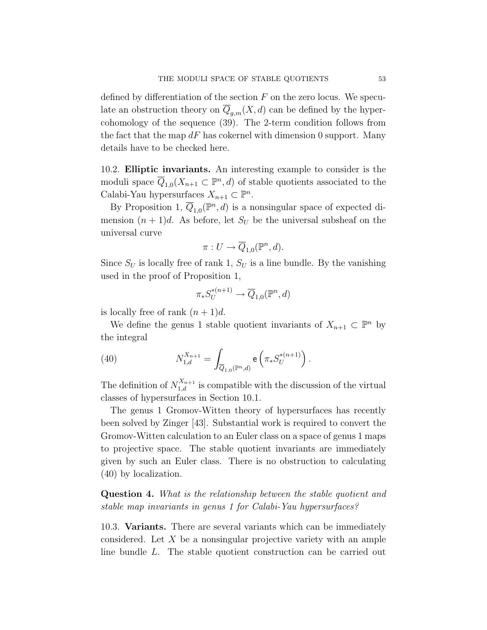defined by differentiation of the section  $F$  on the zero locus. We speculate an obstruction theory on  $\overline{Q}_{g,m}(X,d)$  can be defined by the hypercohomology of the sequence (39). The 2-term condition follows from the fact that the map  $dF$  has cokernel with dimension 0 support. Many details have to be checked here.

10.2. Elliptic invariants. An interesting example to consider is the moduli space  $\overline{Q}_{1,0}(X_{n+1} \subset \mathbb{P}^n, d)$  of stable quotients associated to the Calabi-Yau hypersurfaces  $X_{n+1} \subset \mathbb{P}^n$ .

By Proposition 1,  $\overline{Q}_{1,0}(\mathbb{P}^n,d)$  is a nonsingular space of expected dimension  $(n + 1)d$ . As before, let  $S_U$  be the universal subsheaf on the universal curve

$$
\pi: U \to \overline{Q}_{1,0}(\mathbb{P}^n,d).
$$

Since  $S_U$  is locally free of rank 1,  $S_U$  is a line bundle. By the vanishing used in the proof of Proposition 1,

$$
\pi_* S^{*(n+1)}_U \to \overline{Q}_{1,0}(\mathbb{P}^n,d)
$$

is locally free of rank  $(n+1)d$ .

We define the genus 1 stable quotient invariants of  $X_{n+1} \subset \mathbb{P}^n$  by the integral

(40) 
$$
N_{1,d}^{X_{n+1}} = \int_{\overline{Q}_{1,0}(\mathbb{P}^n,d)} e\left(\pi_* S_U^{*(n+1)}\right).
$$

The definition of  $N_{1,d}^{X_{n+1}}$  is compatible with the discussion of the virtual classes of hypersurfaces in Section 10.1.

The genus 1 Gromov-Witten theory of hypersurfaces has recently been solved by Zinger [43]. Substantial work is required to convert the Gromov-Witten calculation to an Euler class on a space of genus 1 maps to projective space. The stable quotient invariants are immediately given by such an Euler class. There is no obstruction to calculating (40) by localization.

Question 4. What is the relationship between the stable quotient and stable map invariants in genus 1 for Calabi-Yau hypersurfaces?

10.3. Variants. There are several variants which can be immediately considered. Let  $X$  be a nonsingular projective variety with an ample line bundle L. The stable quotient construction can be carried out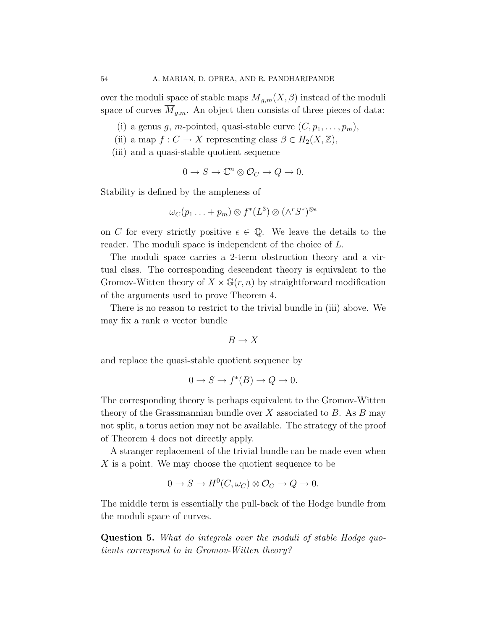over the moduli space of stable maps  $\overline{M}_{q,m}(X,\beta)$  instead of the moduli space of curves  $\overline{M}_{g,m}$ . An object then consists of three pieces of data:

- (i) a genus g, m-pointed, quasi-stable curve  $(C, p_1, \ldots, p_m)$ ,
- (ii) a map  $f: C \to X$  representing class  $\beta \in H_2(X, \mathbb{Z}),$
- (iii) and a quasi-stable quotient sequence

$$
0 \to S \to \mathbb{C}^n \otimes \mathcal{O}_C \to Q \to 0.
$$

Stability is defined by the ampleness of

$$
\omega_{C}(p_{1}\ldots+p_{m})\otimes f^{*}(L^{3})\otimes (\wedge^{r}S^{*})^{\otimes \epsilon}
$$

on C for every strictly positive  $\epsilon \in \mathbb{Q}$ . We leave the details to the reader. The moduli space is independent of the choice of L.

The moduli space carries a 2-term obstruction theory and a virtual class. The corresponding descendent theory is equivalent to the Gromov-Witten theory of  $X \times \mathbb{G}(r,n)$  by straightforward modification of the arguments used to prove Theorem 4.

There is no reason to restrict to the trivial bundle in (iii) above. We may fix a rank  $n$  vector bundle

$$
B \to X
$$

and replace the quasi-stable quotient sequence by

$$
0 \to S \to f^*(B) \to Q \to 0.
$$

The corresponding theory is perhaps equivalent to the Gromov-Witten theory of the Grassmannian bundle over  $X$  associated to  $B$ . As  $B$  may not split, a torus action may not be available. The strategy of the proof of Theorem 4 does not directly apply.

A stranger replacement of the trivial bundle can be made even when  $X$  is a point. We may choose the quotient sequence to be

$$
0 \to S \to H^0(C, \omega_C) \otimes \mathcal{O}_C \to Q \to 0.
$$

The middle term is essentially the pull-back of the Hodge bundle from the moduli space of curves.

Question 5. What do integrals over the moduli of stable Hodge quotients correspond to in Gromov-Witten theory?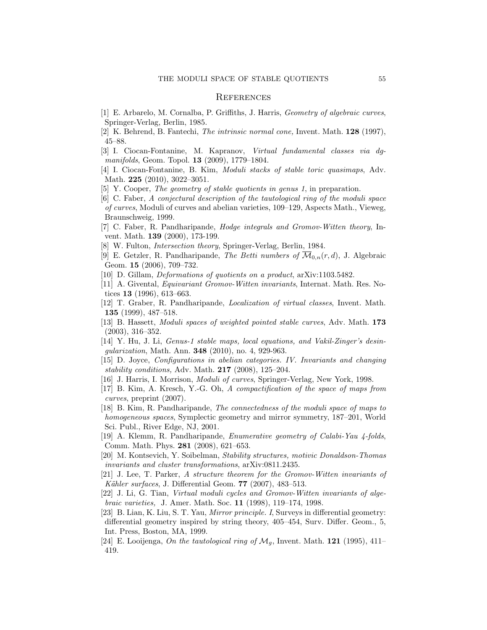#### **REFERENCES**

- [1] E. Arbarelo, M. Cornalba, P. Griffiths, J. Harris, *Geometry of algebraic curves*, Springer-Verlag, Berlin, 1985.
- [2] K. Behrend, B. Fantechi, *The intrinsic normal cone,* Invent. Math. 128 (1997), 45–88.
- [3] I. Ciocan-Fontanine, M. Kapranov, *Virtual fundamental classes via dgmanifolds*, Geom. Topol. 13 (2009), 1779–1804.
- [4] I. Ciocan-Fontanine, B. Kim, *Moduli stacks of stable toric quasimaps*, Adv. Math. 225 (2010), 3022–3051.
- [5] Y. Cooper, *The geometry of stable quotients in genus 1*, in preparation.
- [6] C. Faber, *A conjectural description of the tautological ring of the moduli space of curves*, Moduli of curves and abelian varieties, 109–129, Aspects Math., Vieweg, Braunschweig, 1999.
- [7] C. Faber, R. Pandharipande, *Hodge integrals and Gromov-Witten theory*, Invent. Math. 139 (2000), 173-199.
- [8] W. Fulton, *Intersection theory*, Springer-Verlag, Berlin, 1984.
- [9] E. Getzler, R. Pandharipande, *The Betti numbers of*  $\overline{\mathcal{M}}_{0,n}(r,d)$ , J. Algebraic Geom. **15** (2006), 709–732.
- [10] D. Gillam, *Deformations of quotients on a product*, arXiv:1103.5482.
- [11] A. Givental, *Equivariant Gromov-Witten invariants*, Internat. Math. Res. Notices 13 (1996), 613–663.
- [12] T. Graber, R. Pandharipande, *Localization of virtual classes*, Invent. Math. 135 (1999), 487–518.
- [13] B. Hassett, *Moduli spaces of weighted pointed stable curves*, Adv. Math. 173 (2003), 316–352.
- [14] Y. Hu, J. Li, *Genus-1 stable maps, local equations, and Vakil-Zinger's desingularization*, Math. Ann. 348 (2010), no. 4, 929-963.
- [15] D. Joyce, *Configurations in abelian categories. IV. Invariants and changing stability conditions,* Adv. Math. 217 (2008), 125–204.
- [16] J. Harris, I. Morrison, *Moduli of curves*, Springer-Verlag, New York, 1998.
- [17] B. Kim, A. Kresch, Y.-G. Oh, *A compactification of the space of maps from curves*, preprint (2007).
- [18] B. Kim, R. Pandharipande, *The connectedness of the moduli space of maps to homogeneous spaces*, Symplectic geometry and mirror symmetry, 187–201, World Sci. Publ., River Edge, NJ, 2001.
- [19] A. Klemm, R. Pandharipande, *Enumerative geometry of Calabi-Yau 4-folds*, Comm. Math. Phys. 281 (2008), 621–653.
- [20] M. Kontsevich, Y. Soibelman, *Stability structures, motivic Donaldson-Thomas invariants and cluster transformations*, arXiv:0811.2435.
- [21] J. Lee, T. Parker, *A structure theorem for the Gromov-Witten invariants of K¨ahler surfaces*, J. Differential Geom. 77 (2007), 483–513.
- [22] J. Li, G. Tian, *Virtual moduli cycles and Gromov-Witten invariants of algebraic varieties,* J. Amer. Math. Soc. 11 (1998), 119–174, 1998.
- [23] B. Lian, K. Liu, S. T. Yau, *Mirror principle. I*, Surveys in differential geometry: differential geometry inspired by string theory, 405–454, Surv. Differ. Geom., 5, Int. Press, Boston, MA, 1999.
- [24] E. Looijenga, *On the tautological ring of*  $\mathcal{M}_q$ , Invent. Math. **121** (1995), 411– 419.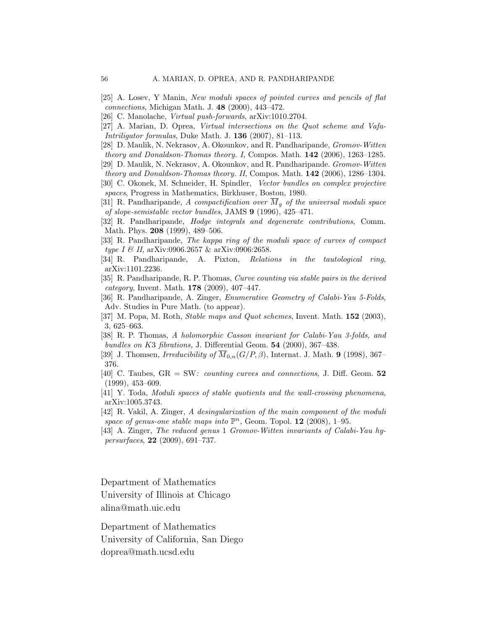- [25] A. Losev, Y Manin, *New moduli spaces of pointed curves and pencils of flat connections*, Michigan Math. J. 48 (2000), 443–472.
- [26] C. Manolache, *Virtual push-forwards*, arXiv:1010.2704.
- [27] A. Marian, D. Oprea, *Virtual intersections on the Quot scheme and Vafa-Intriligator formulas*, Duke Math. J. 136 (2007), 81–113.
- [28] D. Maulik, N. Nekrasov, A. Okounkov, and R. Pandharipande, *Gromov-Witten theory and Donaldson-Thomas theory. I,* Compos. Math. 142 (2006), 1263–1285.
- [29] D. Maulik, N. Nekrasov, A. Okounkov, and R. Pandharipande. *Gromov-Witten theory and Donaldson-Thomas theory. II*, Compos. Math. 142 (2006), 1286–1304.
- [30] C. Okonek, M. Schneider, H. Spindler, *Vector bundles on complex projective spaces*, Progress in Mathematics, Birkhuser, Boston, 1980.
- [31] R. Pandharipande, *A compactification over*  $\overline{M}_q$  *of the universal moduli space of slope-semistable vector bundles*, JAMS 9 (1996), 425–471.
- [32] R. Pandharipande, *Hodge integrals and degenerate contributions*, Comm. Math. Phys. 208 (1999), 489–506.
- [33] R. Pandharipande, *The kappa ring of the moduli space of curves of compact type I & II*, arXiv:0906.2657 & arXiv:0906:2658.
- [34] R. Pandharipande, A. Pixton, *Relations in the tautological ring*, arXiv:1101.2236.
- [35] R. Pandharipande, R. P. Thomas, *Curve counting via stable pairs in the derived category*, Invent. Math. 178 (2009), 407–447.
- [36] R. Pandharipande, A. Zinger, *Enumerative Geometry of Calabi-Yau 5-Folds*, Adv. Studies in Pure Math. (to appear).
- [37] M. Popa, M. Roth, *Stable maps and Quot schemes*, Invent. Math. 152 (2003), 3, 625–663.
- [38] R. P. Thomas, *A holomorphic Casson invariant for Calabi-Yau 3-folds, and bundles on* K3 *fibrations,* J. Differential Geom. 54 (2000), 367–438.
- [39] J. Thomsen, *Irreducibility of*  $\overline{M}_{0,n}(G/P, \beta)$ , Internat. J. Math. **9** (1998), 367– 376.
- [40] C. Taubes, GR = SW*: counting curves and connections*, J. Diff. Geom. 52 (1999), 453–609.
- [41] Y. Toda, *Moduli spaces of stable quotients and the wall-crossing phenomena*, arXiv:1005.3743.
- [42] R. Vakil, A. Zinger, *A desingularization of the main component of the moduli space of genus-one stable maps into*  $\mathbb{P}^n$ , Geom. Topol. **12** (2008), 1–95.
- [43] A. Zinger, *The reduced genus* 1 *Gromov-Witten invariants of Calabi-Yau hypersurfaces*, 22 (2009), 691–737.

Department of Mathematics University of Illinois at Chicago alina@math.uic.edu

Department of Mathematics University of California, San Diego doprea@math.ucsd.edu